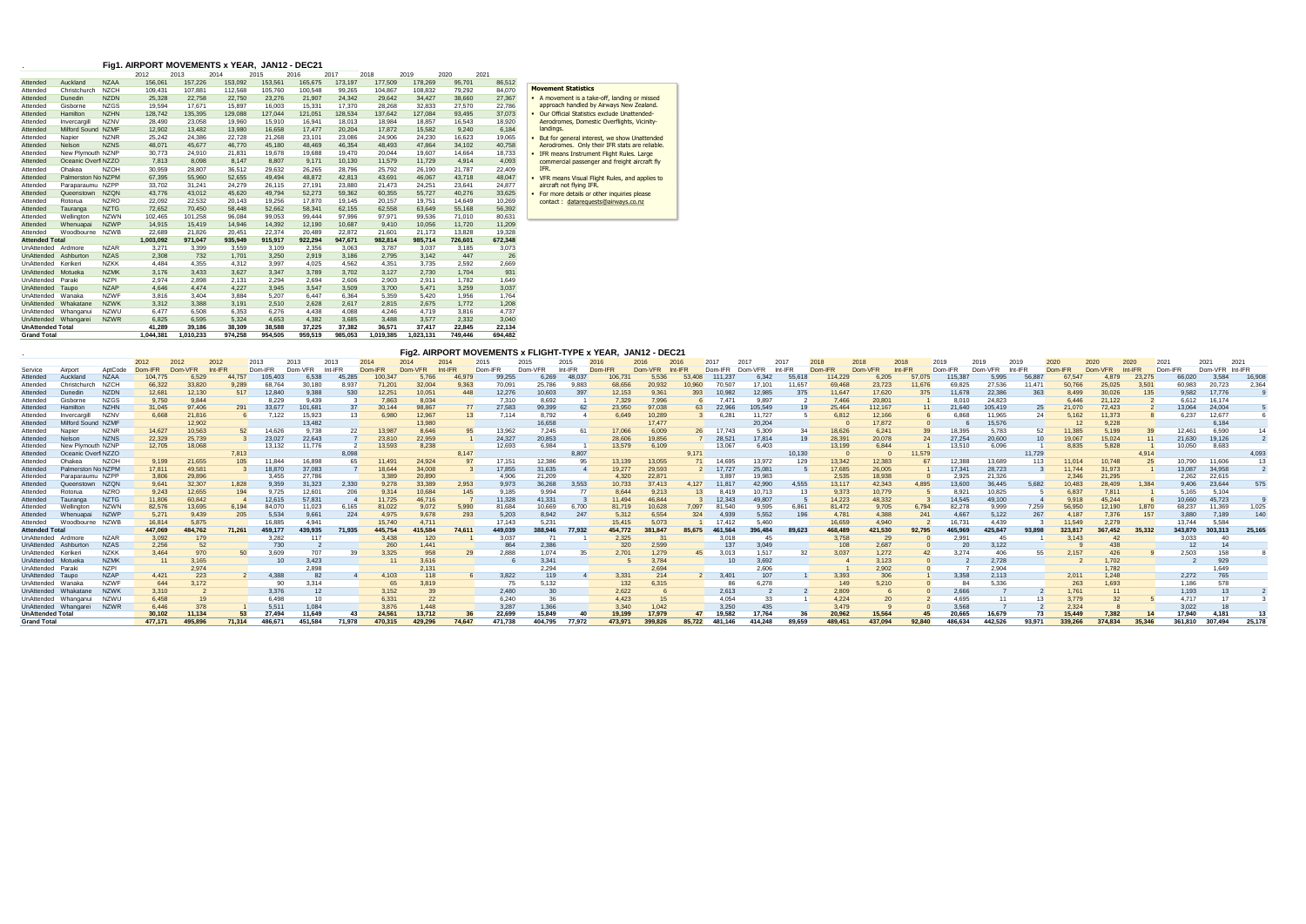## . **Fig1. AIRPORT MOVEMENTS x YEAR, JAN12 - DEC21**

|                         |                    |             | 2012      | 2013      | 2014    | 2015    | 2016    | 2017    | 2018      | 2019      | 2020    | 2021    |
|-------------------------|--------------------|-------------|-----------|-----------|---------|---------|---------|---------|-----------|-----------|---------|---------|
| Attended                | Auckland           | <b>NZAA</b> | 156,061   | 157,226   | 153,092 | 153,561 | 165,675 | 173,197 | 177,509   | 178,269   | 95,701  | 86,512  |
| Attended                | Christchurch       | <b>NZCH</b> | 109,431   | 107,881   | 112,568 | 105,760 | 100,548 | 99,265  | 104,867   | 108,832   | 79,292  | 84,070  |
| Attended                | Dunedin            | <b>NZDN</b> | 25,328    | 22,758    | 22,750  | 23,276  | 21,907  | 24,342  | 29,642    | 34,427    | 38,660  | 27,367  |
| Attended                | Gisborne           | <b>NZGS</b> | 19,594    | 17,671    | 15,897  | 16,003  | 15,331  | 17,370  | 28,268    | 32,833    | 27,570  | 22,786  |
| Attended                | Hamilton           | <b>NZHN</b> | 128,742   | 135,395   | 129,088 | 127,044 | 121,051 | 128,534 | 137,642   | 127,084   | 93,495  | 37,073  |
| Attended                | Invercargill       | <b>NZNV</b> | 28,490    | 23,058    | 19,960  | 15,910  | 16,941  | 18,013  | 18,984    | 18,857    | 16,543  | 18,920  |
| Attended                | Milford Sound NZMF |             | 12,902    | 13,482    | 13,980  | 16,658  | 17,477  | 20,204  | 17,872    | 15,582    | 9,240   | 6,184   |
| Attended                | Napier             | <b>NZNR</b> | 25,242    | 24,386    | 22.728  | 21,268  | 23,101  | 23.086  | 24,906    | 24,230    | 16,623  | 19,065  |
| Attended                | Nelson             | <b>NZNS</b> | 48,071    | 45,677    | 46,770  | 45,180  | 48,469  | 46,354  | 48,493    | 47,864    | 34,102  | 40,758  |
| Attended                | New Plymouth NZNP  |             | 30.773    | 24,910    | 21,831  | 19.678  | 19.688  | 19.470  | 20.044    | 19.607    | 14.664  | 18,733  |
| Attended                | Oceanic Overf NZZO |             | 7,813     | 8,098     | 8,147   | 8,807   | 9,171   | 10.130  | 11,579    | 11,729    | 4,914   | 4,093   |
| Attended                | Ohakea             | <b>NZOH</b> | 30,959    | 28,807    | 36,512  | 29,632  | 26,265  | 28.796  | 25,792    | 26,190    | 21,787  | 22,409  |
| Attended                | Palmerston No NZPM |             | 67,395    | 55,960    | 52,655  | 49,494  | 48.872  | 42.813  | 43,691    | 46,067    | 43,718  | 48,047  |
| Attended                | Paraparaumu NZPP   |             | 33.702    | 31,241    | 24.279  | 26.115  | 27.191  | 23.880  | 21.473    | 24,251    | 23.641  | 24.877  |
| Attended                | Queenstown         | <b>NZQN</b> | 43,776    | 43,012    | 45,620  | 49,794  | 52,273  | 59,362  | 60,355    | 55,727    | 40,276  | 33,625  |
| Attended                | Rotorua            | <b>NZRO</b> | 22,092    | 22,532    | 20,143  | 19,256  | 17,870  | 19,145  | 20,157    | 19,751    | 14,649  | 10,269  |
| Attended                | Tauranga           | <b>NZTG</b> | 72,652    | 70,450    | 58,448  | 52,662  | 58,341  | 62,155  | 62,558    | 63,649    | 55,168  | 56,392  |
| Attended                | Wellington         | <b>NZWN</b> | 102,465   | 101,258   | 96,084  | 99,053  | 99,444  | 97,996  | 97,971    | 99,536    | 71,010  | 80,631  |
| Attended                | Whenuapai          | <b>NZWP</b> | 14,915    | 15,419    | 14.946  | 14,392  | 12.190  | 10.687  | 9,410     | 10,056    | 11.720  | 11,209  |
| Attended                | Woodbourne         | <b>NZWB</b> | 22,689    | 21,826    | 20,451  | 22,374  | 20,489  | 22,872  | 21,601    | 21,173    | 13,828  | 19,328  |
| <b>Attended Total</b>   |                    |             | 1,003,092 | 971,047   | 935,949 | 915,917 | 922,294 | 947,671 | 982,814   | 985,714   | 726,601 | 672,348 |
| UnAttended              | Ardmore            | <b>NZAR</b> | 3,271     | 3,399     | 3,559   | 3,109   | 2,356   | 3,063   | 3,787     | 3,037     | 3,185   | 3,073   |
| UnAttended              | Ashburton          | <b>NZAS</b> | 2,308     | 732       | 1,701   | 3,250   | 2,919   | 3,186   | 2,795     | 3,142     | 447     | 26      |
| UnAttended              | Kerikeri           | <b>NZKK</b> | 4.484     | 4,355     | 4,312   | 3,997   | 4,025   | 4,562   | 4,351     | 3,735     | 2,592   | 2,669   |
| UnAttended              | Motueka            | <b>NZMK</b> | 3,176     | 3,433     | 3,627   | 3,347   | 3.789   | 3,702   | 3,127     | 2,730     | 1.704   | 931     |
| UnAttended              | Paraki             | <b>NZPI</b> | 2,974     | 2,898     | 2,131   | 2,294   | 2.694   | 2,606   | 2,903     | 2,911     | 1,782   | 1.649   |
| UnAttended              | Taupo              | <b>NZAP</b> | 4.646     | 4.474     | 4.227   | 3,945   | 3.547   | 3,509   | 3.700     | 5.471     | 3,259   | 3,037   |
| UnAttended              | Wanaka             | <b>NZWF</b> | 3.816     | 3,404     | 3,884   | 5.207   | 6.447   | 6.364   | 5.359     | 5.420     | 1.956   | 1.764   |
| UnAttended              | Whakatane          | <b>NZWK</b> | 3,312     | 3,388     | 3,191   | 2,510   | 2.628   | 2.617   | 2,815     | 2.675     | 1.772   | 1,208   |
| UnAttended              | Whanganui          | <b>NZWU</b> | 6,477     | 6,508     | 6,353   | 6.276   | 4.438   | 4.088   | 4.246     | 4.719     | 3,816   | 4.737   |
| <b>UnAttended</b>       | Whangarei          | <b>NZWR</b> | 6,825     | 6,595     | 5,324   | 4.653   | 4,382   | 3.685   | 3.488     | 3.577     | 2.332   | 3,040   |
| <b>UnAttended Total</b> |                    |             | 41,289    | 39,186    | 38,309  | 38,588  | 37,225  | 37,382  | 36,571    | 37,417    | 22,845  | 22,134  |
| <b>Grand Total</b>      |                    |             | 1,044,381 | 1,010,233 | 974,258 | 954,505 | 959,519 | 985.053 | 1,019,385 | 1,023,131 | 749,446 | 694,482 |

|                         |                      |             |         |         |         |         |         |                 |         | Fig2. AIRPORT MOVEMENTS x FLIGHT-TYPE x YEAR, JAN12 - DEC21 |         |         |         |         |         |         |        |         |         |        |         |         |         |         |              |                 |         |         |           |         |         |         |
|-------------------------|----------------------|-------------|---------|---------|---------|---------|---------|-----------------|---------|-------------------------------------------------------------|---------|---------|---------|---------|---------|---------|--------|---------|---------|--------|---------|---------|---------|---------|--------------|-----------------|---------|---------|-----------|---------|---------|---------|
|                         |                      |             | 2012    | 2012    | 2012    | 2013    | 2013    | 2013            | 2014    | 2014                                                        | 2014    | 2015    | 2015    | 2015    |         | 2016    | 2016   | 201     | 2017    | 2017   | 2018    | 2018    | 2018    | 2019    | 2019<br>2019 |                 | 2020    | 2020    | 2020      | 2021    | 2021    | 2021    |
| Service                 | Airport              | AptCode     | Dom-IFR | Dom-VFR | Int-IFR | Dom-IFR | Dom-VFR | Int-IFR         | Dom-IFR | Dom-VFR                                                     | Int-IFR | Dom-IFR | Dom-VFR | Int-IFR | Dom-IFR | Dom-VFR |        | Dom-IFR | Dom-VFR |        | Dom-IFR | Dom-VFR | Int-IFR | Dom-IFR | Dom-VFR      |                 | Dom-IFR | Dom-VFR | $Int-IFR$ | Dom-IFR | Dom-VFR | Int-IFR |
| Attended                | Auckland             | <b>NZAA</b> | 104,775 | 6,529   | 44,757  | 105,403 | 6,538   | 45,285          | 100,347 | 5,766                                                       | 46,979  | 99,255  | 6,269   | 48,037  | 106,731 | 5,536   | 53,408 | 111,237 | 6,342   | 55,618 | 114,229 | 6,205   | 57,075  | 115,387 | 5,995        | 56,887          | 67,547  | 4,879   | 23,275    | 66,020  | 3,584   | 16,908  |
| Attended                | Christchurch         | <b>NZCH</b> | 66,322  | 33,820  | 9,289   | 68,764  | 30,180  | 8,937           | 71,201  | 32,004                                                      | 9,363   | 70,091  | 25,786  | 9,883   | 68,656  | 20,932  | 10,960 | 70,507  | 17,101  | 11,657 | 69,468  | 23,723  | 11,676  | 69,825  | 27,536       | 11,471          | 50,766  | 25,025  | 3,501     | 60,983  | 20,723  | 2,364   |
| Attended                | Dunedin              | <b>NZDN</b> | 12,681  | 12,130  | 517     | 12,840  | 9,388   | 530             | 12,251  | 10,051                                                      | 448     | 12,276  | 10,603  | 397     | 12,153  | 9,361   | 393    | 10,982  | 12,985  | 375    | 11,647  | 17,620  | 375     | 11,678  | 22,386       | 363             | 8,499   | 30,026  | 135       | 9,582   | 17,776  |         |
| Attended                | Gisborne             | <b>NZGS</b> | 9,750   | 9.844   |         | 8,229   | 9.439   |                 | 7,863   | 8,034                                                       |         | 7.310   | 8.692   |         | 7,329   | 7,996   |        | 7.47'   | 9.897   |        | 7.466   | 20,801  |         | 8.010   | 24.823       |                 | 6,446   | 21,122  |           | 6.612   | 16.174  |         |
| Attended                | Hamilton             | <b>NZHN</b> | 31,045  | 97,406  | 291     | 33,677  | 101,681 | -37             | 30,144  | 98,867                                                      | 77      | 27,583  | 99,399  |         | 23,950  | 97,038  |        | 22,966  | 105,549 | 19     | 25.464  | 112,167 |         | 21,640  | 105.419      | 25              | 21,070  | 72,423  |           | 13.064  | 24,004  |         |
| Attended                | Invercargill         | <b>NZNV</b> | 6.668   | 21.816  |         | 7.122   | 15.923  | 13 <sup>1</sup> | 6.980   | 12.967                                                      | 13      | 7.114   | 8.792   |         | 6.649   | 10,289  |        | 6.28    | 11.727  |        | 6.812   | 12,166  |         | 6.868   | 11.965       | 24              | 5.162   | 11.373  |           | 6.237   | 12.677  |         |
| Attended                | Milford Sound NZMF   |             |         | 12,902  |         |         | 13,482  |                 |         | 13,980                                                      |         |         | 16,658  |         |         | 17,477  |        |         | 20,204  |        |         | 17,872  |         |         | 15,576       |                 | -12     | 9,228   |           |         | 6,184   |         |
| Attended                | Napier               | <b>NZNR</b> | 14,627  | 10,563  | 52      | 14,626  | 9,738   | 22              | 13,987  | 8,646                                                       | 95      | 13.962  | 7,245   |         | 17,066  | 6,009   |        | 17.743  | 5.309   |        | 18,626  | 6,241   |         | 18.395  | 5.783        | 52              | 1,385   | 5,199   |           | 12.461  | 6.590   |         |
| Attended                | Nelson               | <b>NZNS</b> | 22,329  | 25,739  |         | 23,027  | 22,643  |                 | 23,810  | 22,959                                                      |         | 24,327  | 20,853  |         | 28,606  | 19,856  |        | 28,52'  | 17,814  | 19     | 28.391  | 20,078  | 24      | 27,254  | 20,600       | 10 <sup>1</sup> | 19.067  | 15,024  |           | 21.630  | 19,126  |         |
| Attended                | New Plymouth NZNP    |             | 12,705  | 18,068  |         | 13,132  | 11,776  |                 | 13,593  | 8,238                                                       |         | 12,693  | 6,984   |         | 13,579  | 6,109   |        | 13,067  | 6,403   |        | 13,199  | 6,844   |         | 13,510  | 6,096        |                 | 8,835   | 5,828   |           | 10,050  | 8,683   |         |
| Attended                | Oceanic Overf NZZO   |             |         |         | 7,813   |         |         | 8,098           |         |                                                             | 8.147   |         |         | 8,807   |         |         | 9,171  |         |         | 10,130 |         |         | 11,579  |         |              | 11,729          |         |         | 4,914     |         |         | 4,093   |
| Attended                | Ohakea               | <b>NZOH</b> | 9,199   | 21,655  | 105     | 11,844  | 16.898  | 65              | 11,491  | 24,924                                                      |         | 17,151  | 12,386  |         | 13,139  | 13,055  |        | 14.695  | 13.972  | 129    | 13,342  | 12,383  |         | 12.388  | 13.689       | 113             | 11,014  | 10.748  |           | 10.790  | 11.606  |         |
| Attended                | Palmerston No NZPM   |             | 17,811  | 49,581  |         | 18,870  | 37,083  |                 | 18,644  | 34,008                                                      |         | 17,855  | 31,635  |         | 19,277  | 29,593  |        | 17,727  | 25,081  |        | 17,685  | 26,005  |         | 17,341  | 28,723       |                 | 11.744  | 31,973  |           | 13,087  | 34,958  |         |
| Attended                | Paraparaumu NZPP     |             | 3,806   | 29,896  |         | 3,455   | 27.786  |                 | 3,389   | 20,890                                                      |         | 4.906   | 21,209  |         | 4,320   | 22,87   |        | 3.897   | 19.983  |        | 2,535   | 18,938  |         | 2.925   | 21,326       |                 | 2,346   | 21,295  |           | 2,262   | 22,615  |         |
| Attended                | Queenstown NZQN      |             | 9,641   | 32,307  | 1,828   | 9,359   | 31,323  | 2,330           | 9,278   | 33,389                                                      | 2,953   | 9,973   | 36,268  | 3,553   | 10,733  | 37.413  | 4.127  | 11,817  | 42.990  | 4.555  | 13.117  | 42,343  | 4.895   | 13,600  | 36.445       | 5,682           | 10,483  | 28,409  | 1.384     | 9.406   | 23.644  |         |
| Attended                | Rotorua              | <b>NZRC</b> | 9,243   | 12,655  | 194     | 9,725   | 12,601  | 206             | 9,314   | 10,684                                                      | 145     | 9.185   | 9.994   |         | 8,644   | 9,213   |        | 8.419   | 10.713  |        | 9,373   | 10.779  |         | 8,92'   | 10.825       |                 | 6,837   | 7.811   |           | 5,165   | 5.104   |         |
| Attended                | Tauranga             | <b>NZTG</b> | 11,806  | 60.842  |         | 12,615  | 57,831  |                 | 1,725   | 46.716                                                      |         | 11,328  | 41,331  |         | 1,494   | 46.844  |        | 12,343  | 49,807  |        | 14,223  | 48,332  |         | 14,545  | 49,100       |                 | 9,918   | 45.244  |           | 10,660  | 45.723  |         |
| Attended                | Wellington           | <b>NZWN</b> | 82,576  | 13.695  | 6.194   | 84,070  | 11.023  | 6.165           | 81,022  | 9.072                                                       | 5.990   | 81.684  | 10.669  | 6.700   | 81,719  | 10.628  | 7.097  | 81.540  | 9.595   | 6.861  | 81.472  | 9,705   | 6.794   | 82,278  | 9.999        | 7.259           | 56,950  | 12.190  | 1.870     | 68.237  | 1.369   | 1.025   |
| Attended                | Whenuapai            | <b>NZWF</b> | 5,271   | 9,439   | 205     | 5,534   | 9,661   | 224             | 4,975   | 9,678                                                       | 293     | 5,203   | 8,942   | 247     | 5,312   | 6,554   |        | 4,939   | 5,552   | 196    | 4,781   | 4,388   | 241     | 4,667   | 5,122        | 267             | 4,187   | 7,376   | 157       | 3,880   | 7,189   | 140     |
| Attended                | Woodbourne NZWB      |             | 16,814  | 5.875   |         | 16.88   | 4.941   |                 | 15.740  | 4.711                                                       |         | 17.143  | 5.231   |         | 15.415  | 5.073   |        | 17.412  | 5.460   |        | 16,659  | 4,940   |         | 16.73   | 4.439        |                 | 1.549   | 2.279   |           | 13.744  | 5.584   |         |
| <b>Attended Tota</b>    |                      |             | 447,069 |         | 71,261  | 459,177 | 439,935 | 71,935          | 445,754 | 415,584                                                     | 74,611  | 449,039 | 388,946 | 77,932  | 454,772 | 381.847 | 85.675 | 461,564 | 396,484 | 89.623 | 468,489 | 421,530 | 92.795  | 465,969 | 425,847      | 93,898          | 323,817 | 367.452 | 35.332    | 343,870 | 303.313 | 25.165  |
| UnAttended Ardmore      |                      | <b>NZAR</b> | 3,092   | 179     |         | 3,282   | 117     |                 | 3,438   | 120                                                         |         | 3.037   |         |         | 2,325   |         |        | 3,018   | 45      |        | 3,758   | -29     |         | 2.99'   | 45           |                 | 3.143   | 42      |           |         |         |         |
|                         | UnAttended Ashburtor | <b>NZAS</b> | 2,256   |         |         | 730     |         |                 | 260     | .441                                                        |         | 864     | 2,386   |         | 320     | 2,599   |        | 137     | 3,049   |        | 108     | 2,687   |         | 20      | 3,122        |                 |         | 438     |           |         |         |         |
| UnAttended Keriker      |                      | <b>NZKK</b> | 3,464   | 970     | 50      | 3.609   | 707     |                 | 3,325   | 958                                                         | 29      | 2.888   | 1.074   | 35      | 2.701   | 1,279   | 45     | 3.013   | 1.517   | -32    | 3.037   | 1,272   |         | 3.274   | 406          | 55              | 2,157   | 426     |           | 2,503   | 158     |         |
| UnAttended Motueka      |                      | <b>NZMK</b> | 11      | 165     |         |         | 3,423   |                 | 11      | 3.616                                                       |         |         | 3,341   |         |         | 3.784   |        |         | 3,692   |        |         | 3,123   |         |         | 2,728        |                 |         | 1.702   |           |         | 929     |         |
| UnAttended Parak        |                      | <b>NZPI</b> |         | 2.974   |         |         | 2.898   |                 |         | 2,131                                                       |         |         | 2.294   |         |         | 2,694   |        |         | 2.606   |        |         | 2,902   |         |         | 2.904        |                 |         | 1.782   |           |         | .649    |         |
| UnAttended Taupo        |                      | <b>NZAP</b> | 4,421   | 223     |         | 4,388   | 82      |                 | 4,103   |                                                             |         | 3,822   | 119     |         | 3,331   | 214     |        | 3,401   | 107     |        | 3,393   | 306     |         | 3,358   | 2,113        |                 | 2,011   | 1.248   |           | 2,272   | 765     |         |
| UnAttended Wanaka       |                      | <b>NZWI</b> | 644     | 3,172   |         |         | 3.314   |                 | 65      | 3.819                                                       |         |         | 5.132   |         | 132     | 6.315   |        |         | 6.278   |        | 149     | 5,210   |         |         | 5.336        |                 | 263     | 1.693   |           | .186    |         |         |
|                         | UnAttended Whakatar  | <b>NZWK</b> | 3,310   |         |         | 3,376   | 12      |                 | 3,152   |                                                             |         | 2,480   | 30      |         | 2,622   |         |        | 2,613   |         |        | 2,809   |         |         | 2,666   |              |                 | 1,761   |         |           | 1,193   |         |         |
|                         | UnAttended Whanganui | NZWl        | 6,458   |         |         | 6.498   | 10      |                 | 6.331   |                                                             |         | 6.240   |         |         | 4,423   |         |        | 4.054   | 33      |        | 4.224   | 20      |         | 4.695   |              |                 | 3.779   | 32      |           | 4.717   |         |         |
|                         | UnAttended Whangarei | <b>NZWR</b> | 6,446   | 378     |         | 5,511   | 1,084   |                 | 3,876   | .448                                                        |         | 3,287   | 1,366   |         | 3,340   | 1.042   |        | 3,250   | 435     |        | 3.479   |         |         | 3,568   |              |                 | 2,324   |         |           | 3,022   |         |         |
| <b>UnAttended Total</b> |                      |             | 30,102  | 11.134  | 53      | 27.494  | 11.649  |                 | 24,561  | 13.712                                                      |         | 22,699  | 15.849  |         | 19.199  | 17.979  |        | 19.582  |         |        | 20,962  | 15,564  |         | 20.665  | 16.679       |                 | 5.449   | 7,382   |           | 7.940   | 4.181   |         |
| <b>Grand Total</b>      |                      |             | 477.171 | 495.896 | 71.314  | 486.67  | 451.584 | 71.978          | 470.315 | 429.296                                                     | 74.647  | 471.738 | 404.795 | 77.972  | 473.971 | 399.826 | 85.722 | 481.146 | 414.248 | 89.659 | 489.451 | 437.094 | 92.840  | 486.634 | 442.526      | 93.971          | 339.266 | 374.834 | 35.346    | 361.810 |         |         |

## **Movement Statistics**

| A movement is a take-off, landing or missed |
|---------------------------------------------|
| approach handled by Airways New Zealand.    |
| Our Official Statistics exclude Unattended- |
| Aerodromes, Domestic Overflights, Vicinity- |
| landings.                                   |

- But for general interest, we show Unattended Aerodromes. Only their IFR stats are reliable.
- 
- IFR means Instrument Flight Rules. Large commercial passenger and freight aircraft fly IFR.
- VFR means Visual Flight Rules, and applies to aircraft not flying IFR.
- For more details or other inquiries please contact : datarequests@airways.co.nz
-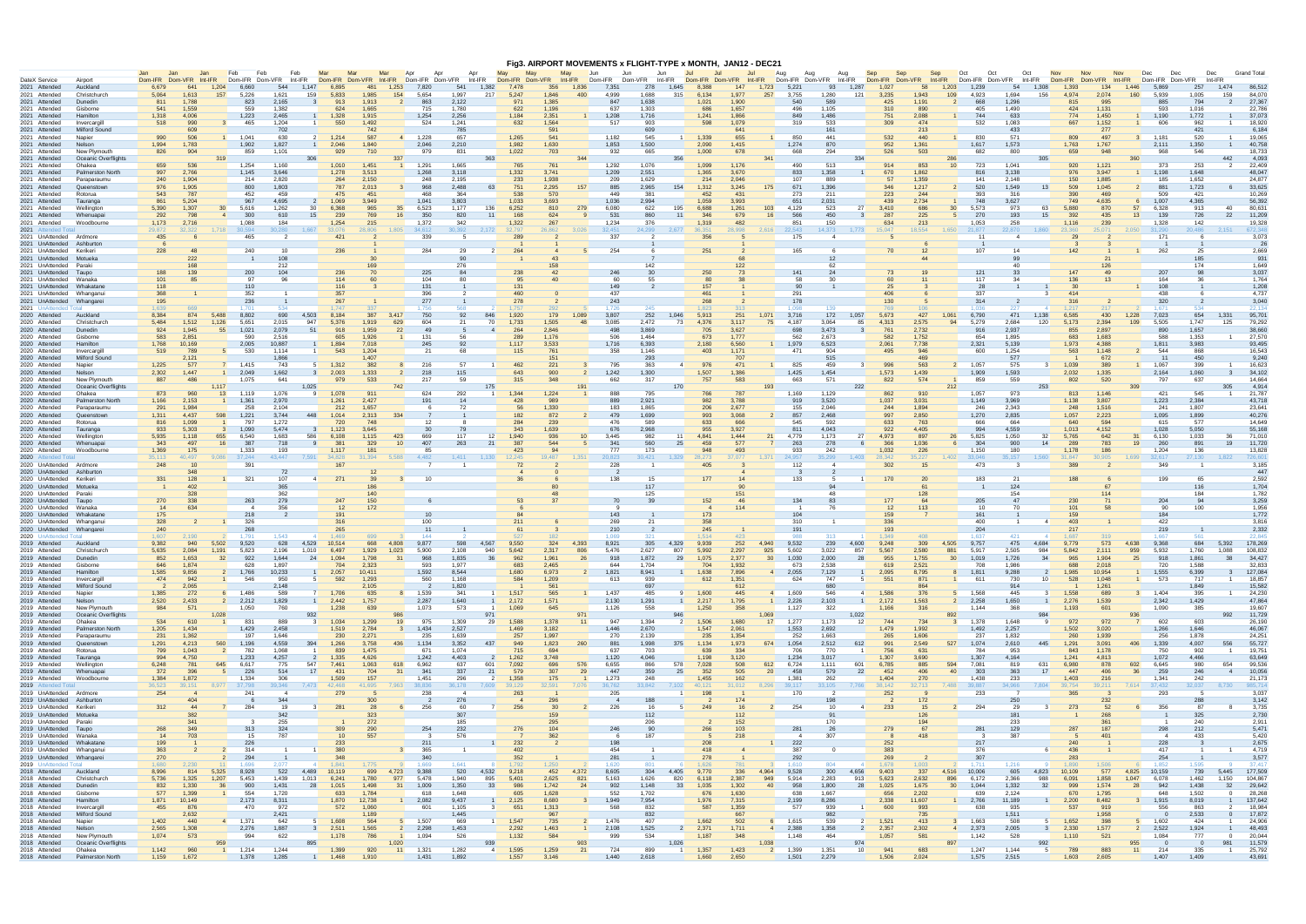|                                                      |                                     |                 |                        |                                |                       |                 |                         |                       |                 |                    |                       |                           |                         |                       |                        |                       |                       |                 |                |                        |                | Fig3. AIRPORT MOVEMENTS x FLIGHT-TYPE x MONTH, JAN12 - DEC21 |                        |                        |                                  |                 |                |                        |                 |                |                |                 |                                     |                 |                                   |                |                       |                    |
|------------------------------------------------------|-------------------------------------|-----------------|------------------------|--------------------------------|-----------------------|-----------------|-------------------------|-----------------------|-----------------|--------------------|-----------------------|---------------------------|-------------------------|-----------------------|------------------------|-----------------------|-----------------------|-----------------|----------------|------------------------|----------------|--------------------------------------------------------------|------------------------|------------------------|----------------------------------|-----------------|----------------|------------------------|-----------------|----------------|----------------|-----------------|-------------------------------------|-----------------|-----------------------------------|----------------|-----------------------|--------------------|
| DateX Service                                        | Airport                             | Dom-IFR         | Jan<br>Jan.<br>Dom-VFR | Int-IFR                        | <b>Feb</b><br>Dom-IFR | Feb<br>Dom-VFR  | Feb<br>Int-IFR          | Ma<br>Dom-IFR Dom-VFR | Mar             | Int-IFR            | Anr<br>An<br>Dom-IFR  | Apr<br>Dom-VFR<br>Int-IFR | May                     | Dom-IFR Dom-VFR       |                        | May<br>Jun<br>Int-IFR | Dom-IFR               | .Jun<br>Dom-VFR | Jun<br>Int-IFR | Jul<br>-Jul<br>Dom-IFR | Dom-VFR        | Jul<br>Int-IFR                                               | Aug<br>Dom-IFR Dom-VFR | Aua                    | Aua<br>Int-IFR                   | Sep<br>Dom-IFR  | Sen<br>Dom-VFR | Sep<br>Int-IFR         | Oct<br>Dom-IFR  | Oct<br>Dom-VFR | Oct<br>Int-IFR | Nov<br>Dom-IFR  | <b>Nov</b><br><b>Nov</b><br>Dom-VFR | Dec<br>Int-IFR  | Dom-IFF<br>Dom-VFR                | Dec<br>Int-IFR |                       | <b>Grand Total</b> |
| 2021 Attended                                        | Auckland                            | 6.679           |                        | 1.204                          | 6.660                 | 544             | 1.147                   | 6.895                 | 48'             | 1.253              | 7.820                 | 541                       | 1.382                   | 7.478                 | 356                    | 1.836                 | 7.35                  | 278             | 1.645          | 8.388                  | 147            | 1.723                                                        | $5.22^{\circ}$         | 93                     | 1.287                            | 1.027           | 58             | 1.203                  | 1.239           | 54             | 1.308          | 1.39:           | 134                                 | 1.446           |                                   | 257            | 1.474                 | 86,512             |
| 2021 Attended                                        | Christchurch<br>Dunedin             | 5,064<br>811    | 1.613<br>1,788         | 157                            | 5,226<br>823          | 1,621<br>2,165  | 159<br>- 3              | 5,833<br>913          | 1,985<br>1,913  | 154                | 5,654<br>863          | 1,997<br>2,122            | 217                     | 5,247<br>971          | 1.846<br>1,385         | 400                   | 4,999<br>84           | 1688<br>1,638   | 315            | 6,134<br>1,021         | 1,977<br>1,900 | 257                                                          | 3,755<br>540           | 1,280<br>589           | 121                              | 3,235<br>425    | 1,943<br>1,191 | 109<br>$\overline{2}$  | 4,923<br>668    | 1.694<br>1,296 | 156            | 4.974<br>815    | 2,074<br>995                        | 160             | 5.939<br>885                      | 1,005<br>794   | 159                   | 84.070<br>27,367   |
| 2021 Attended<br>2021 Attended                       | Gisborne                            | 541             | 1.559                  |                                | 559                   | 1.382           |                         | 624                   | 1.665           |                    | 715                   | 1.780                     |                         | 622                   | 1.196                  |                       | 637                   | 1.303           |                | 686                    | 1.657          |                                                              | 496                    | 1.105                  |                                  | 310             | 890            |                        | 405             | 1.490          |                | 424             | 1,131                               |                 | 593                               | 1.016          |                       | 22,786             |
| 2021 Attended                                        | Hamilton                            | 1,318           | 4,006                  |                                | 1,223                 | 2,465           |                         | 1,328                 | 1,915           |                    | 1,254                 | 2,256                     |                         | 1,184                 | 2,351                  |                       | 1,208                 | 1,716           |                | 1,241                  | 1,866          |                                                              | 849                    | 1,486                  |                                  | 751             | 2,088          |                        | 744             | 633            |                | 774             | 1,450                               |                 | 1,190                             | 1,772          |                       | 37,073             |
| 2021 Attended<br>2021 Attended                       | Invercargil<br>Milford Sound        | 518             | 990<br>609             | $\mathbf{3}$                   | 465                   | 1,204<br>702    |                         | 550                   | 1,492<br>742    |                    | 524                   | 1,241<br>785              |                         | 632                   | 1,564<br>591           |                       | 517                   | 903<br>609      |                | 598                    | 1,079          |                                                              | 319                    | 533<br>16'             |                                  | 309             | 474<br>213     |                        | 532             | 1,083<br>433   |                | 667             | 1,152<br>277                        |                 | 606                               | -962<br>421    |                       | 18,920<br>6.184    |
| 2021 Attended                                        | Napier                              | 990             | 506                    | $\overline{1}$                 | 1,041                 | 630             |                         | 1,214                 | 587             | 4                  | 1,228                 | 657                       |                         | 1,265                 | 541                    |                       | 1,182                 | 545             | -1             | 1,339                  | 655            |                                                              | 850                    | 441                    |                                  | 532             | 440            |                        | 830             | 571            |                | 809             | 497                                 |                 | 1,181                             | 520            |                       | 19.065             |
| 2021 Attended<br>2021 Attended                       | Nelson<br>New Plymouth              | 1,994<br>826    | 1,783<br>904           |                                | 1,902<br>859          | 1,827<br>1,101  |                         | 2,046<br>929          | 1,840<br>710    |                    | 2,046<br>979          | 2,210<br>831              |                         | 1,982<br>1,022        | 1,630<br>703           |                       | 1,853<br>932          | 1,500<br>665    |                | 2,090<br>1,000         | 1,415<br>678   |                                                              | 1,274<br>668           | 870<br>294             |                                  | 952<br>526      | 1,361<br>503   |                        | 1,617<br>682    | 1,573<br>800   |                | 1,763<br>659    | 1,767<br>948                        |                 | 2,111<br>968                      | 1,350<br>546   |                       | 40,758<br>18,733   |
| 2021 Attended                                        | Oceanic Overflights                 |                 |                        | 319                            |                       |                 | 306                     |                       |                 | 337                |                       |                           | 363                     |                       |                        | 344                   |                       |                 | 356            |                        |                | 341                                                          |                        |                        | 334                              |                 |                | 286                    |                 |                | 305            |                 |                                     | 360             |                                   |                | 442                   | 4,093              |
| 2021 Attended<br>2021 Attended                       | Ohakea<br>Palmerston North          | 659<br>997      | 536<br>2,766           |                                | 1,254<br>1,145        | 1,160<br>3,646  |                         | 1,010<br>1,278        | 1,451<br>3,513  |                    | 1,291<br>1,268        | 1,665<br>3,118            |                         | 765<br>1,332          | 761<br>3,741           |                       | 1,292<br>1,209        | 1,076<br>2,551  |                | 1,099<br>1,365         | 1,176<br>3,670 |                                                              | 490<br>833             | 513<br>1,358           |                                  | 914<br>670      | 853<br>1.862   | 10 <sup>1</sup>        | 723<br>816      | 1,041<br>3,138 |                | 920<br>976      | 1,121<br>3.947                      |                 | 373<br>1.198                      | 253<br>1.648   |                       | 22,409<br>48.047   |
| 2021 Attended                                        | Paraparaumu                         | 240             | 1.904                  |                                | 214                   | 2.820           |                         | 264                   | 2,150           |                    | 248                   | 2.195                     |                         | 233                   | 1.938                  |                       | 209                   | 1.629           |                | 214                    | 2.046          |                                                              | 107                    | 889                    |                                  | 57              | 1.359          |                        | 141             | 2.148          |                | 150             | 1.885                               |                 | 185                               | 1.652          |                       | 24.877             |
| 2021 Attended<br>2021 Attended                       | Queenstow<br>Rotorua                | 976<br>543      | 1,905<br>787           |                                | 800<br>452            | 1,803<br>459    |                         | 787<br>475            | 2,013<br>45'    |                    | 968<br>468            | 2,488<br>364              | - 63                    | 751<br>538            | 2,295<br>570           | 157                   | 885<br>449            | 2,965<br>381    | 154            | 1,312<br>452           | 3,245<br>43    | 175                                                          | 671<br>273             | 1,396<br>211           |                                  | 346<br>223      | 1,217<br>244   | $\overline{2}$         | 520<br>393      | 1,549<br>316   | 13             | 509<br>390      | 1,045<br>469                        |                 | 881<br>509                        | 1,723<br>421   |                       | 33,625<br>10,269   |
| 2021 Attended                                        | Tauranga                            | 861             | 5,204                  |                                | 967                   | 4,695           |                         | 1,069                 | 3.949           |                    | 1,041                 | 3,803                     |                         | 1.033                 | 3,693                  |                       | 1,036                 | 2,994           |                | 1,059                  | 3,993          |                                                              | 65'                    | 2,031                  |                                  | 439             | 2,734          |                        | 748             | 3,627          |                | 749             | 4,635                               |                 | 1,007                             | 4,365          |                       | 56,392             |
| 2021 Attended                                        | Wellinator                          | 5,390           | 1,307                  | 30                             | 5,616                 | 1,262           | 30                      | 6,368                 | 965             | 35                 | 6,523                 | 1,177                     | 136                     | 6,252                 | 810                    | 279                   | 6,080                 | 622             | 195            | 6,688                  | 1,261          | 103                                                          | 4,129                  | 523                    | 27                               | 3,410           | 686            | 30 <sup>°</sup>        | 5,573           | 973            | 63             | 5,880           | 870                                 | 57              | 6,328                             | 913            | 40                    | 80,631             |
| 2021 Attended<br>2021 Attended                       | Whenuapai<br>Woodbourn              | 292<br>1,173    | 798<br>2,716           |                                | 300<br>1.088          | 610<br>184      | 15                      | 239<br>1,254          | 769<br>215      | 16                 | 350<br>1,372          | 820<br>342                | 11                      | 168<br>1,322          | 624<br>267             |                       | 531<br>1,234          | 860<br>376      | 11             | 346<br>1,319           | 679<br>482     | 16                                                           | 566<br>851             | 450<br>150             |                                  | 287<br>634      | 225<br>213     |                        | 270<br>1,053    | 193<br>258     | 15             | 392<br>1.116    | 435<br>239                          | 13              | 139<br>1.328                      | 726<br>142     | 22                    | 11,209<br>19,328   |
| 2021 Attended To                                     |                                     | 29,872          | 32.322                 |                                | 1,718 30,594          | 30,280          | 1.667                   | 33.076                | 28.806          | 1.805              | 34,612                | 30,392                    | 2,172                   | 32.797                | 26,862                 | 3,026                 | 32,451                | 24,299          | 2,677          | 36.351                 | 28.998         | 2.616                                                        | 22,543                 | 14,373                 | 1,773                            | 15.047          | 18.554         | 1.650                  | 21,877          | 22,870         | 1.860          | 23.360          | 25.071                              | 2.050           | 31,290                            | 20.486         |                       | 672.348            |
| 2021 UnAttended<br>2021 UnAttended                   | Ardmore<br>Ashburto                 | 435             |                        |                                | 465                   |                 |                         | 421                   |                 |                    | 339                   |                           |                         | 289                   |                        |                       | 337                   |                 |                |                        |                |                                                              | 175                    |                        |                                  |                 |                |                        | 11              |                |                | 29              |                                     |                 | 171                               |                |                       | 3,073<br>-26       |
| 2021 UnAttended                                      | Kerike                              | 228             |                        |                                | 240                   | 10              |                         | 236                   |                 |                    | 284                   | -29                       |                         | 264                   |                        |                       | 254                   |                 |                | 251                    |                |                                                              | 165                    |                        |                                  |                 |                |                        | 107             | 14             |                |                 |                                     |                 | 262                               |                |                       | 2,669              |
| 2021 UnAttended                                      | Motueka<br>Parak                    |                 | 222<br>168             |                                |                       | 108             |                         |                       | 169             |                    |                       | 90                        |                         |                       | 158                    |                       |                       | 142             |                |                        |                |                                                              |                        | 12<br>62               |                                  |                 |                |                        |                 | 40             |                |                 |                                     |                 |                                   | 174            |                       | 931<br>1.649       |
| 2021 UnAttended<br>2021 UnAttended                   | Taupo                               |                 | 139                    |                                | 200                   | 212<br>104      |                         | 236                   |                 |                    | 225                   | 276                       |                         | 238                   |                        |                       | -246                  | 30              |                | -250                   |                |                                                              | 141                    |                        |                                  | 73              |                |                        | 121             | 33             |                |                 |                                     |                 | 207                               |                |                       | 3,037              |
| 2021 UnAttended                                      | Wanaka                              | 101             |                        |                                | 97                    | 96              |                         | 114                   |                 |                    | 104                   |                           |                         |                       |                        |                       | -60                   | 55              |                |                        |                |                                                              | 58                     |                        |                                  |                 |                |                        | 117             |                |                |                 |                                     |                 | 164                               |                |                       | 1,764              |
| 2021 UnAttended<br>2021 UnAttended                   | Whakatan<br>Whanganu                | 118<br>368      |                        |                                | 110<br>352            |                 |                         | 116<br>357            |                 |                    | 131<br>396            |                           |                         | 131<br>460            |                        |                       | 149<br>437            |                 |                | 157<br>461             |                |                                                              | 90<br>291              |                        |                                  | 25<br>406       |                |                        | -28<br>337      |                |                | 30<br>414       |                                     |                 | 108<br>438                        |                |                       | 1,208<br>4,737     |
| 2021 UnAttended                                      | Whangar                             | 195             |                        |                                | 236                   |                 |                         | 267                   |                 |                    | 277                   |                           |                         | 278                   |                        |                       | 243                   |                 |                | 268                    |                |                                                              | 178                    |                        |                                  | 130             |                |                        | 314             |                |                | 316             |                                     |                 | 320                               |                |                       | 3,040              |
| 2021 UnAttended<br>2020 Attended                     | Auckland                            | 1.639<br>8,384  | 874                    | 5,488                          | 8,802                 | 690             | 4,503                   | 8,184                 | 387             | 3,417              | -756<br>750           | 92                        | 846                     | 1,920                 | 179                    | 1,089                 | 1.721<br>3,807        | 252             | 1,046          | -823<br>5,913          | 251            | 1.071                                                        | 1.091<br>3,716         | 172                    | 1,057                            | 5,673           | 427            | $1.06^{\circ}$         | 1 በ36<br>6,790  | 471            | 1,138          | 6,585           | 430                                 | 1,228           | 1671<br>7,023                     | 654            | 1.33'                 | 22.134<br>95,701   |
| 2020 Attended                                        | Christchurch                        | 5,484           | 1,512                  | 1,126                          | 5,651                 | 2,015           | 947                     | 5,376                 | 1,919           | 629                | 604                   | 21                        | 70                      | 1,733                 | 1,505                  | 48                    | 3,085                 | 2,472           | 73             | 4,376                  | 3.117          | 75                                                           | 4.187                  | 3,064                  | 85                               | 4,313           | 2,575          | 94                     | 5,279           | 2.684          | 120            | 5,173           | 2,394                               | 109             | 5,505                             | 1.747          | 125                   | 79,292             |
| 2020 Attended                                        | Dunedin                             | 924             | 1.945                  | 55                             | 1,021                 | 2,079           | 51                      | 918                   | 1,959           | 22                 | 49                    |                           |                         | 264                   | 2,846                  |                       | 498                   | 3,869           |                | 705                    | 3,627          |                                                              | 698                    | 3,473                  |                                  | 761             | 2,732          |                        | 916             | 2,937          |                | 855             | 2,897                               |                 | 890                               | 1,657          |                       | 38,660             |
| 2020 Attended<br>2020 Attended                       | Gisborne<br>Hamilton                | 583<br>1,768    | 2,851<br>10,169        |                                | 590<br>2,005          | 2,516<br>10,887 |                         | 605<br>1,894          | 1,926<br>7,018  |                    | 131<br>245            | 56<br>-92                 |                         | 289<br>1.117          | 1,176<br>3,533         |                       | 506<br>1,716          | 1,464<br>6,393  |                | 673<br>2,180           | 1,777<br>6,560 |                                                              | 562<br>1,979           | 2,673<br>6,523         |                                  | 582<br>2,061    | 1,752<br>7,738 |                        | 654<br>2,321    | 1,895<br>5,139 |                | 683<br>1,973    | 1,683<br>4,388                      |                 | 588<br>1,811                      | 1,353<br>3,983 |                       | 27,570<br>93,495   |
| 2020 Attended                                        | Invercargil                         | 519             | 789                    | 5                              | 530                   | 1.114           |                         | 543                   | 1,204           |                    | -21                   | 68                        |                         | 115                   | 761                    |                       | 358                   | 1.146           |                | 403                    | 1,171          |                                                              | 471                    | 904                    |                                  | 495             | 946            |                        | 600             | 1,254          |                | 563             | 1,148                               |                 | 544                               | 868            |                       | 16,543             |
| 2020 Attended<br>2020 Attended                       | Milford Sound<br>Napier             | 1,225           | 2,121<br>577           | $\overline{7}$                 | 1,415                 | 1,866<br>743    |                         | 1,312                 | $-407$<br>382   |                    | 216                   | -57                       | $\overline{1}$          | 462                   | 15 <sup>1</sup><br>221 |                       | 795                   | 293<br>363      | $\overline{4}$ | 976                    | 471            |                                                              | 825                    | 515<br>45 <sup>c</sup> |                                  | 996             | 563            | $\overline{2}$         | 1.057           | 577<br>575     | $\mathbf{3}$   | 1,039           | 672<br>389                          |                 | -11<br>1,067                      | 450<br>399     |                       | 9,240<br>16,623    |
| 2020 Attended                                        | Nelson                              | 2,302           | 1.447                  | 1                              | 2,049                 | 1,662           | $\overline{\mathbf{3}}$ | 2,003                 | 1,333           | $\overline{2}$     | 218                   | 115                       |                         | 643                   | 900                    | $\overline{2}$        | 1,242                 | 1,300           |                | 1,507                  | 1,386          |                                                              | 1,425                  | 1,454                  |                                  | 1,573           | 1.439          |                        | 1,909           | 1.593          |                | 2,032           | 1,335                               |                 | 2,164                             | 1,060          |                       | 34,102             |
| 2020 Attended<br>2020 Attended                       | New Plymouth<br>Oceanic Overflights | 887             | 486                    | 1.117                          | 1,075                 | 641             | 1,025                   | 979                   | 533             |                    | 217                   | 59                        | 175                     | 315                   | 348                    |                       | 662                   | 317             | 170            | 757                    | 583            | 193                                                          | 663                    | 571                    | 222                              | 822             | 574            | 212                    | 859             | 559            | 253            | 802             | 520                                 | 30 <sup>c</sup> | 797                               | 637            | 305                   | 14,664<br>4,914    |
| 2020 Attended                                        | Ohakea                              | 873             | 960                    | 13                             | 1.119                 | 1,076           |                         | 1,078                 | 911             |                    | 624                   | 292                       | $\overline{1}$          | 1.344                 | 1,224                  |                       | 888                   | 795             |                |                        | 787            |                                                              | 1.169                  | 1,129                  |                                  | 862             | 910            |                        | 1.057           | 973            |                | 813             | 1.146                               |                 | 421                               | 545            |                       | 21,787             |
| 2020 Attended                                        | <b>Palmerston Nort</b>              | 1,166           | 2,153                  | $\overline{1}$                 | 1,361                 | 2,970           |                         | 1,261                 | 2,427           |                    | 191                   | 14                        |                         | 428                   | 989                    |                       | 889                   | 2,921           |                | 982                    | 3,788          |                                                              | 919                    | 3,520                  |                                  | 1,037           | 3,031          |                        | 1,149           | 3,969          |                | 1,138           | 3,807                               |                 | 1,223                             | 2,384          |                       | 43,718             |
| 2020 Attended<br>2020 Attended                       | Paraparaumu<br>Queenstown           | 291<br>1,311    | 1.984<br>4.437         | 598                            | 258<br>1,221          | 2.104<br>3.744  | 448                     | 212<br>1.014          | 1.657<br>2.313  | 334                |                       | -72                       |                         | 56<br>182             | 1,330<br>872           |                       | 183<br>479            | 1.865<br>1.699  |                | 206<br>993             | 2,677<br>3,068 | $\overline{2}$                                               | 155<br>857             | 2,046<br>2,468         |                                  | 244<br>997      | 1,894<br>2,850 |                        | 246<br>1,270    | 2,343<br>2,835 |                | 248<br>1,057    | 1,516<br>2,223                      |                 | 241<br>1,095                      | 1,807<br>1,899 |                       | 23,641<br>40,276   |
| 2020 Attended                                        | Rotorua                             | 816             | 1,099                  |                                | 797                   | 1,272           |                         | 720                   | 748             |                    |                       |                           |                         | 284                   | 239                    |                       | 476                   | 589             |                | 633                    | 66             |                                                              | 545                    | 592                    |                                  | 633             | 763            |                        | 666             | 664            |                | 640             | 594                                 |                 | 615                               | 577            |                       | 14,649             |
| 2020 Attended<br>2020 Attended                       | Tauranga<br>Wellington              | 933<br>5,935    | 5,303<br>1.118         | $\overline{\mathbf{3}}$<br>655 | 1,090<br>6.540        | 5,474<br>1.683  | - 3<br>586              | 1,123<br>6.108        | 3,645<br>1.115  | 423                | 669                   | -79<br>117                | 12                      | 343<br>1.940          | 1,639<br>936           | 10                    | 676<br>3.445          | 2,968<br>982    | -11            | 955<br>4,841           | 3,927<br>1.444 | 21                                                           | 81'<br>4.779           | 4,043<br>1.173         | 27                               | 922<br>4,973    | 4,405<br>897   | 26                     | 994<br>5,825    | 4,559<br>1.050 | 32             | 1,013<br>5,765  | 4,152<br>642                        | 31              | 1,028<br>6.130                    | 5,050<br>1.033 | 36.                   | 55,168<br>71.010   |
| 2020 Attended                                        | Whenuapa                            | 343             | 497                    | 16                             | 387                   | 718             | $\mathbf{q}$            | 381                   | 329             | 10                 | 407                   | 263                       | 21                      | 387                   | 544                    |                       | 341                   | 560             | 25             | 459                    | 577            |                                                              | 263                    | 278                    |                                  | 366             | 1.036          | 6                      | 304             | 900            | 14             | 289             | 783                                 | 19              | 260                               | $89^{\circ}$   | 19                    | 11,720             |
| 2020 Attended<br>2020<br>Attended                    | Woodbourne                          | 1,369<br>35.113 | 175<br>40.497          |                                | 1,333<br>9,086 37,244 | 193<br>43.447   | 7.591                   | 1,117<br>34,828       | 31.394          | 5.588              | 85<br>4.482           | 1.411                     | 1.130                   | 423<br>12.245         | 19.487                 | 1.351                 | 777<br>20.823         | 173<br>30.421   | 1,329          | 28.273                 | 493<br>37.07   | 1.371                                                        | 933<br>24.957          | 242<br>35.299          | 1.403                            | 1,032<br>28.342 | 226<br>35.227  | 1,402                  | 1,150<br>33.046 | 180<br>35,157  | 1.560          | 1,178<br>31.847 | 186<br>30.905                       | 1,699           | 1,204<br>32.617                   | 136<br>27.130  |                       | 13,828<br>726,601  |
| 2020 UnAttended                                      | Ardmore                             | 248             |                        |                                | 391                   |                 |                         | 167                   |                 |                    |                       |                           |                         | 72                    |                        |                       | 228                   |                 |                | 405                    |                |                                                              | 112                    |                        |                                  | 302             |                |                        | 473             |                |                |                 |                                     |                 | 349                               |                |                       | 3,185              |
| 2020 UnAttended<br>2020 UnAttended                   | Ashburto<br>Keriker                 | 331             | 348<br>128             |                                | 321                   | 107             | $\overline{4}$          | 271                   |                 |                    | 10                    |                           |                         |                       |                        |                       | 138                   | 15              |                | 177                    |                |                                                              | 133                    |                        |                                  | 170             | 20             |                        | 183             | -21            |                | 188             |                                     |                 | 199                               | 65             |                       | 447<br>2.592       |
| 2020 UnAttended                                      | Motueka                             |                 | 402                    |                                |                       | 365             |                         |                       |                 |                    |                       |                           |                         |                       |                        |                       |                       | 117             |                |                        |                |                                                              |                        |                        |                                  |                 |                |                        |                 | 124            |                |                 |                                     |                 |                                   | 116            |                       | 1,704              |
| 2020 UnAttended                                      | Parak                               |                 | 328                    |                                |                       | 362             |                         |                       |                 |                    |                       |                           |                         |                       |                        |                       |                       | 125             |                |                        |                |                                                              |                        | 48                     |                                  |                 | 128            |                        |                 | 154            |                |                 |                                     |                 |                                   | 184            |                       | 1,782              |
| 2020 UnAttended<br>2020 UnAttended                   | Taupo<br>Wanaka                     | 270<br>14       | 338<br>634             |                                | 263<br>$\overline{A}$ | 279<br>356      |                         | 247<br>12             | 150<br>172      |                    |                       |                           |                         | 53                    |                        |                       | -70                   | 39              |                | 152                    | 114            |                                                              | 134                    | 83<br>76               |                                  | 177<br>12       | 113            |                        | 205<br>10       | 47<br>70       |                | 230<br>101      |                                     |                 | 204<br>-90                        | -94<br>100     |                       | 3,259<br>1,956     |
| 2020 UnAttended                                      | Whakatane                           | 175             |                        |                                | 218                   |                 |                         | 191                   |                 |                    |                       |                           |                         |                       |                        |                       | 143                   |                 |                | 173                    |                |                                                              | 104                    |                        |                                  | 159             |                |                        | 161             |                |                |                 |                                     |                 | 184                               |                |                       | 1,772              |
| 2020 UnAttended Whanganu<br>2020 UnAttended          | Whangare                            | 328<br>240      |                        |                                | 326<br>268            |                 |                         | 316<br>265            |                 |                    | 100<br>11             |                           |                         | 211<br>61             |                        |                       | 269<br>210            | 21              |                | 358<br>245             |                |                                                              | 310<br>19'             |                        |                                  | 336<br>193      |                |                        | 400<br>204      |                |                | 403<br>217      |                                     |                 | 422<br>219                        |                |                       | 3.816<br>2,332     |
| 2020 UnAttended Total                                |                                     | 1.607           | 2.190                  |                                | 1.791                 | 1.543           |                         | 1.469                 |                 |                    | 144                   |                           |                         |                       |                        |                       | 1.069                 | 321             |                | 1.514                  | 423            |                                                              | -988                   |                        |                                  | 1.349           | 408            |                        | 1.637           | -421           |                | 1.687           |                                     |                 | 1.667                             |                |                       | 22,845             |
| 2019 Attended                                        | Auckland                            | 9,382           | 940                    | 5,502                          | 9,520                 | 628             | 4,529                   | 10,514<br>6,497       | 668             | 4,808              | 9,877                 | 598                       | 4,567                   | 9,550                 | 324<br>2,317           | 4,393                 | 8,921                 | 305<br>2,627    | 4,329          | 9,939                  | 252            | 4,940<br>925                                                 | 9,532                  | 239                    | 4,600                            | 9,248<br>5,567  | 309<br>2,580   | 4,505                  | 9,757           | 475            | 4,684          | 9,779           | 573                                 | 4,638           | 9,368                             | 684            | 5,392                 | 178,269            |
| 2019 Attended<br>2019 Attended                       | Christchurc<br>Dunedin              | 5,635<br>852    | 2,084<br>1,653         | 1,191<br>32                    | 5,823<br>922          | 2,196<br>1,644  | 1,010<br>24             | 1,094                 | 1,929<br>1,798  | 1,023<br>31        | 5,900<br>968          | 2,108<br>1,835            | 940<br>36               | 5,642<br>962          | 1,961                  | 806<br>26             | 5,476<br>918          | 1,872           | 807<br>29      | 5,992<br>1,075         | 2,297<br>2,377 | 30 <sup>°</sup>                                              | 5,602<br>1,030         | 3,022<br>2,000         | 857<br>28                        | 955             | 1,755          | 881<br>30 <sup>°</sup> | 5,917<br>1,019  | 2,505<br>1,726 | 984<br>34      | 5,842<br>965    | 2,111<br>1,904                      | 959<br>25       | 5,932<br>918                      | 1,861          | .088<br>38            | 108,832<br>34,427  |
| 2019 Attended                                        | Gisborne                            | 646             | 1,874                  |                                | 628                   | 1,897           |                         | 704                   | 2,323           |                    | 593                   | 1,977                     |                         | 683                   | 2,465                  |                       | 644                   | 1,704           |                | 704                    | 1,932          |                                                              | 673                    | 2,538                  |                                  | 619             | 2,521          |                        | 708             | 1.986          |                | 688             | 2,018                               |                 | 720                               | 1,588          |                       | 32,833             |
| 2019 Attended<br>2019 Attended                       | Hamilton<br>Invercargill            | 1,585<br>474    | 9,856<br>942           | $\mathbf{2}$<br>$\overline{1}$ | 1,766<br>546          | 10,233<br>950   | 5 <sup>5</sup>          | 2,057<br>592          | 10,411<br>1,293 |                    | 1,592<br>560          | 8,544<br>1.168            |                         | 1,680<br>584          | 6,973<br>1,209         |                       | 1,821<br>613          | 8,941<br>939    |                | 1,638<br>612           | 7,896<br>1,351 |                                                              | 4 2,055<br>624         | 7,129<br>747           | $5^{\circ}$                      | 2,095<br>551    | 8,795<br>871   | -8<br>$\overline{1}$   | 1,811<br>611    | 9,288<br>730   | -2<br>10       | 1,985<br>528    | 10,954<br>1,048                     | $\overline{1}$  | 1,555<br>573                      | 6,399<br>717   | $\overline{1}$        | 127,084<br>18,857  |
| 2019 Attended                                        | Milford Sound                       |                 | 2,065                  |                                |                       | 2,148           |                         |                       | 2,105           |                    |                       | 1,820                     |                         |                       | 561                    |                       |                       | 697             |                |                        | 612            |                                                              |                        | 680                    |                                  |                 |                |                        |                 | 914            |                |                 | 1,261                               |                 |                                   | 1.849          |                       | 15,582             |
| 2019 Attended<br>2019 Attended                       | Napier<br>Nelson                    | 1,385<br>2,520  | 272<br>2,433           | $\overline{2}$                 | 1,486<br>2,212        | 589<br>1,829    |                         | 1,706<br>2,442        | 635<br>1,757    |                    | 1,539<br>2,287        | 341<br>1,640              | $\overline{1}$          | 1,517<br>2,172        | 565<br>1,571           |                       | 1,437<br>2,130        | 485<br>1,291    | -9             | 1,600<br>2,217         | 445<br>1,795   | $\overline{4}$<br>$\overline{1}$                             | 1,609<br>2,226         | 546<br>2,103           | $\overline{4}$<br>$\overline{1}$ | 1,586<br>2,172  | 376<br>1,563   | $\overline{2}$         | 1,568<br>2,258  | 445<br>1,650   |                | 1,558<br>2,276  | 689<br>1,539                        |                 | 1,404<br>2,342                    | 395<br>1,429   |                       | 24,230<br>47,864   |
| 2019 Attended                                        | New Plymouth                        | 984             | 571                    |                                | 1,050                 | 760             |                         | 1,238                 | 639             |                    | 1,073                 | 573                       | $\overline{1}$          | 1,069                 | 645                    |                       | 1,126                 | 558             |                | 1,250                  | 358            |                                                              | 1,127                  | 322                    |                                  | 1,166           | 316            |                        | 1,144           | 368            |                | 1,193           | 601                                 |                 | 1,090                             | 385            |                       | 19.607             |
| 2019 Attended                                        | Oceanic Overflights                 |                 |                        | 1,028                          |                       |                 | 932<br>$\mathbf{3}$     |                       |                 | 986                |                       |                           | 971                     |                       |                        | 971                   | 947                   |                 | $\overline{2}$ |                        |                | 1.069                                                        |                        |                        | 1,022                            |                 |                | 892<br>$\mathbf{3}$    |                 |                | 984<br>-9      |                 |                                     | 936             |                                   |                | 992                   | 11,729             |
| 2019 Attended<br>2019 Attended                       | Ohakea<br><b>Palmerston North</b>   | 534<br>1,205    | 610<br>1,434           |                                | 831<br>1,429          | 889<br>2,458    |                         | 1,034<br>1,519        | 1,299<br>2,784  | 19<br>$\mathbf{3}$ | 975<br>1,434          | 1,309<br>2,527            | 29                      | 1,588<br>1,469        | 1,378<br>3,182         | 11                    | 1,446                 | 1,394<br>2,670  |                | 1,506<br>1,547         | 1,680<br>2,061 | 17                                                           | 1,277<br>1,553         | 1,173<br>2,692         | 12                               | 744<br>1,479    | 734<br>1,992   |                        | 1,378<br>1,492  | 1,648<br>2,257 |                | 972<br>1,502    | 972<br>3,020                        |                 | 602<br>1,266                      | 603<br>1,646   |                       | 26,190<br>46,067   |
| 2019 Attended                                        | Paraparaumu                         | 231             | 1,362                  |                                | 197                   | 1,646           |                         | 230                   | 2,271           |                    | 235                   | 1,639                     |                         | 257                   | 1,997                  |                       | 270                   | 2,139           |                | 235                    | 1,354          |                                                              | 252                    | 1,663                  |                                  | 265             | 1,606          |                        | 237             | 1,832          |                | 260             | 1,939                               |                 | 256                               | 1,878          |                       | 24,251             |
| 2019 Attended<br>2019 Attended                       | Queenstown<br>Rotorua               | 1,291<br>799    | 4,213<br>1.043         | 560<br>$\overline{2}$          | 1,196<br>782          | 4,559<br>1.068  | 394                     | 1,266<br>839          | 3,758<br>1,475  | 436                | 1,134<br>671          | 3,352<br>1.074            | 437                     | 949<br>715            | 1,823<br>694           | 260                   | 881<br>637            | 1,998<br>703    | 375            | 1,134<br>639           | 1,973<br>334   | 674                                                          | 1,054<br>706           | 2,512<br>770           | 612                              | 991<br>756      | 2,549<br>631   | 527                    | 1,074<br>784    | 2,610<br>953   | 445            | 1,291<br>843    | 3,091<br>1,178                      | 406             | 1,339<br>750                      | 4,007<br>902   | 556                   | 55,727<br>19,751   |
| 2019 Attended                                        | Tauranga                            | 994             | 4,750                  |                                | 1,233                 | 4,257           |                         | 1,335                 | 4,626           |                    | 1,242                 | 4,403                     |                         | 1,262                 | 3,748                  |                       | 1,120                 | 4,046           |                | 1,198                  | 3,120          |                                                              | 1,234                  | 3,017                  |                                  | 1,307           | 3,690          |                        | 1.307           | 4,164          |                | 1,241           | 4,813                               |                 | 1,072                             | 4,466          |                       | 63,649             |
| 2019 Attended<br>2019 Attended                       | Wellington<br>Whenuapai             | 6,248<br>372    | 781<br>396             | 645<br>5 <sup>5</sup>          | 6,617<br>226          | 775<br>514      | 547<br>17               | 7,461<br>431          | 1,063<br>704    | 618<br>31          | 6,962<br>341          | 637<br>337                | 601<br>21               | 7,092<br>579          | 696<br>307             | 576<br>29             | 6,655<br>447          | 866<br>359      | 578<br>25      | 7,028<br>352           | 508<br>505     | 612<br>20                                                    | 6,724<br>458           | 1,111<br>579           | 601<br>22                        | 6,785<br>452    | 885<br>406     | 594<br>40              | 7,081<br>303    | 819<br>363     | 631<br>17      | 6,980<br>447    | 878<br>406                          | 602<br>36       | 6,645<br>259                      | 980<br>246     | 654<br>$\overline{4}$ | 99,536<br>10,056   |
| 2019 Attended                                        | Woodbourne                          | 1,384           | 1,872                  |                                | 1,334                 | 306             |                         | 1,509                 | 157             |                    | 1,451                 | 296                       | $\overline{2}$          | 1,358                 | 175                    | $\overline{1}$        | 1,273                 | 248             |                | 1,455                  | 162            |                                                              | 1,381                  | 262                    |                                  | 1,404           | 270            |                        | 1,438           | 233            |                | 1,403           | 216                                 |                 | 1,341                             | 242            |                       | 21,173             |
| 2019 Attended Total                                  |                                     | 36,523          | 39.151                 | 8,977                          | 37,798                | 39,346          | 7,473                   | 42,468                | 41,695          | 7,963              | 38,836                | 36.178                    | 7,609                   | 39,129                | 32,591                 | 7,076                 | 36,762                | 33,842          | 7,102          | 40,121                 | 31,012         | 8,296                                                        | 39,117                 | 33,105                 | 7,766                            | 38,142          | 32,713         | 7,488                  | 39,887          | 34,966         | 7,804          | 39,754          | 39,211                              | 7,614           | 37,432                            | 2,037          |                       | 985,714<br>3.037   |
| 2019 UnAttended Ardmore<br>2019 UnAttended Ashburtor |                                     | 254             | 404                    |                                | 241                   | 344             |                         | 279                   | - 5<br>300      |                    | 238<br>$\overline{2}$ | -4<br>276                 |                         | 263<br>$\overline{4}$ | $\overline{1}$<br>296  |                       | 205<br>$\overline{4}$ | 188             |                | 198                    | 174            |                                                              | 170                    | 198                    |                                  | 252             | - 9<br>172     |                        | 233             | 250            |                | 365             | -3<br>232                           |                 | 293                               | 288            |                       | 3,142              |
| 2019 UnAttended Kerikeri                             |                                     | 312             | 44                     | $\overline{7}$                 | 284                   | 19              | $\mathbf{3}$            | 281                   | 28              | 6                  | 256                   | - 60                      | $\overline{7}$          | 256                   | 30                     |                       | 226                   | 16              | 5              | 249                    |                | $\overline{2}$                                               | 254                    | 10                     | $\sim$ 4                         | 233             | 15             | $\overline{2}$         | 294             | 29             | -3             | 273             | 52                                  |                 | 356                               | 87             |                       | 3,735              |
| 2019 UnAttended Motueka<br>2019 UnAttended Paraki    |                                     |                 | 382<br>341             |                                | -3.                   | 342<br>255      |                         |                       | 323<br>272      |                    |                       | 307<br>185                |                         |                       | 159<br>295             |                       |                       | 112<br>206      |                |                        | 112<br>152     |                                                              |                        | 91<br>170              |                                  |                 | 126<br>194     |                        |                 | 181<br>233     |                |                 | 268<br>361                          |                 |                                   | 325<br>240     |                       | 2,730<br>2,911     |
| 2019 UnAttended Taupo                                |                                     | 268             | 349                    |                                | 313                   | 324             |                         | 309                   | 290             |                    | 254                   | 232                       |                         | 276                   | 104                    |                       | 246                   | 90              |                | 266                    | 103            |                                                              | 281                    | 26                     |                                  | 279             | 67             |                        | 281             | 129            |                | 287             | 187                                 |                 | 298                               | 212            |                       | 5,471              |
| 2019 UnAttended Wanaka<br>2019 UnAttended Whakatane  |                                     | 14<br>199       | 703                    |                                | 15<br>226             | 787             |                         | 10<br>233             | 557             |                    | 211                   | 576                       |                         | 232                   | 362                    |                       | 198                   | 187             |                | 208                    | 218            |                                                              | $\overline{a}$<br>222  | 307                    |                                  | 252             | 418            |                        | - 2<br>217      | 387            |                | 240             | 401                                 |                 | -4<br>228                         | 433            |                       | 5,420<br>2,675     |
| 2019 UnAttended Whanganui                            |                                     | 363             |                        |                                | 314                   |                 |                         | 380                   |                 |                    | 365                   |                           |                         | 402                   |                        |                       | 454                   |                 |                | 418                    |                | $\overline{4}$                                               | 387                    |                        |                                  | 383             |                |                        | 376             |                |                | 436             |                                     |                 | 417                               |                |                       | 4,719              |
| 2019 UnAttended Whangarei                            |                                     | 270             |                        | $\overline{2}$                 | 294                   |                 |                         | 348                   |                 |                    | 340                   |                           |                         | 352                   |                        |                       | 281                   |                 |                | 278                    |                |                                                              | 292                    |                        |                                  | 269             |                |                        | 307             |                |                | 283             |                                     |                 | 254                               |                |                       | 3,577              |
| 2019 UnAttended Total<br>2018 Attended               | Auckland                            | 1,680<br>8,996  | 2,230<br>814           | 11<br>5,325                    | 1.696<br>8,928        | 2.077<br>522    | 4,489                   | 1.841<br>10,119       | 699             | 4,723              | 1.669<br>9,388        | 1641<br>520               | 4,532                   | 1.792<br>9,218        | 1,250<br>452           | 4,372                 | 1.620<br>8,605        | 801<br>304      | 4,405          | 1,626<br>9,770         | 336            | 4,964                                                        | 1.610<br>9,528         | 804<br>300             | 4,656                            | 1,678<br>9,403  | 1,003<br>337   | 4,516                  | 1.711<br>10,006 | 1,216<br>605   | 4,823          | 1,890<br>10,109 | 1,506<br>577                        | 4,825           | 1.852<br>10,159                   | 1.595<br>739   | 5,445                 | 37 417<br>177,509  |
| 2018 Attended                                        | Christchurch                        | 5,736           | 1,325                  | 1,207                          | 5,453                 | 1,439           | 1,013                   | 6,241                 | 1,780           | 977                | 5.478                 | 1,940                     | 895                     | 5,401                 | 2,625                  | 821                   | 5,163                 | 1,626           | 820            | 6,118                  | 2,387          | 949                                                          | 5,914                  | 2,283                  | 913                              | 5,623           | 2,632          | 896                    | 6,172           | 2,366          | 988            | 6,091           | 1,858                               | 1,047           | 6.078                             | 1,462          | 1.150                 | 104,867            |
| 2018 Attended<br>2018 Attended                       | Dunedin<br>Gisborne                 | 832<br>577      | 1,330<br>1,399         | 36<br>$\overline{1}$           | 900<br>554            | 1,431<br>1,720  | 28                      | 1,015<br>633          | 1,498<br>1,784  | 31                 | 1,009<br>618          | 1,350<br>1,648            | 33                      | 986<br>605            | 1,742<br>1,628         | 24                    | 902<br>552            | 1,148<br>1,702  | 33             | 1,035<br>676           | 1,302<br>1,630 | 40                                                           | 958<br>638             | 1,800<br>1,667         | 28                               | 1,025<br>656    | 1,675<br>2,202 | 30 <sup>°</sup>        | 1,044<br>639    | 1,332<br>2,124 | 32             | 999<br>670      | 1,574<br>1,795                      | 28              | 942<br>648                        | 1,438<br>1,502 | 32                    | 29,642<br>28,268   |
| 2018 Attended                                        | Hamilton                            | 1,871           | 10,149                 |                                | 2,173                 | 8,311           |                         | 1,870                 | 12,738          | 1                  | 2,082                 | 9,437                     | $\vert$ 1               | 2,125                 | 8,680                  | $\mathbf{3}$          | 1,949                 | 7,954           |                | 1,976                  | 7,315          |                                                              | 2,199                  | 8,286                  |                                  | 2,338           | 11,607         |                        | 1 2,766         | 11,189         | $\overline{1}$ | 2,200           | 8,482                               | $3^{\circ}$     | 1,915                             | 8,019          |                       | 137.642            |
| 2018 Attended                                        | Invercargill                        | 455             | 876                    |                                | 470                   | 972             |                         | 572                   | 1,060           |                    | 601                   | 1,105                     | $\overline{\mathbf{3}}$ | 651                   | 1,313                  |                       | 568                   | 832             |                | 587                    | 1,359          |                                                              | 577                    | 939                    | $\overline{1}$                   | 600             | 993            |                        | 638             | 935            |                | 537             | 919                                 |                 | 556                               | 863            |                       | 18,984             |
| 2018 Attended<br>2018 Attended                       | <b>Milford Sound</b><br>Napier      | 1,402           | 2,632<br>440           | $\overline{4}$                 | 1.371                 | 2,421<br>642    |                         | 1,608                 | 1,189<br>564    |                    | 1.507                 | 1,445<br>669              | $\overline{1}$          | 1,547                 | 967<br>735             |                       | 1.476                 | 832<br>407      |                | 1,662                  | 667<br>502     |                                                              | 1,615                  | 982<br>539             |                                  | 1,521           | 735<br>413     |                        | 1.663           | 1,511<br>508   |                | 1,652           | 1,958<br>398                        |                 | - 0<br>1,602                      | 2,533<br>424   |                       | 17,872<br>24,906   |
| 2018 Attended                                        | Nelson                              | 2,565           | 1,308                  |                                | 2,276                 | 1,887           | -3                      | 2,511                 | 1,565           | $\overline{2}$     | 2,298                 | 1,453                     |                         | 2,292                 | 1,463                  |                       | 2,108                 | 1,525           | -2             | 2,371                  | 1,711          | $\overline{4}$                                               | 2,388                  | 1,358                  | $\overline{2}$                   | 2,357           | 2,302          | $\overline{4}$         | 2,373           | 2,005          | - 3            | 2,330           | 1,577                               | $\overline{2}$  | 2,522                             | 1,924          |                       | 48,493             |
| 2018 Attended<br>2018 Attended                       | New Plymouth<br>Oceanic Overflights | 1,074           | 573                    | 959                            | 994                   | 622             | 895                     | 1,178                 | 786             | 1,020              | 1,094                 | 526                       | 939                     | 1,132                 | 584                    | 903                   | 999                   | 534             | 1,026          | 1,187                  | 348            | 1,038                                                        | 1,148                  | 464                    | 974                              | 1,057           | 581            | 897                    | 1,142           | 528            | 992            | 1,110           | 521                                 | 955             | 1,084<br>$\overline{\phantom{0}}$ | 777            | 981                   | 20,044<br>11,579   |
| 2018 Attended                                        | Ohakea                              | 1,142           | 960                    | $\overline{1}$                 | 1,214                 | 1,244           |                         | 1,399                 | 920             | 11                 | 1,321                 | 1,282                     | 4                       | 1,595                 | 1,259                  | 21                    | 724                   | 899             | $\overline{1}$ | 1,357                  | 1,423          | $\overline{2}$                                               | 1,399                  | 1,351                  | 10                               | 941             | 683            |                        | 1,247           | 1,144          | - 5            | 789             | 883                                 | 11              | 214                               | 335            | $\blacksquare$        | 25,792             |
| 2018 Attended                                        | Palmerston North                    | 1,159           | 1,672                  |                                | 1,378                 | 1,285           |                         | 1,468                 | 1,910           |                    | 1,431                 | 1,892                     |                         | 1,557                 | 3,146                  |                       | 1,440                 | 2,618           |                | 1,660                  | 2,650          |                                                              | 1,501                  | 2,279                  |                                  | 1,506           | 2,024          |                        | 1,575           | 2,515          |                | 1,603           | 2,605                               |                 | 1,407                             | 1,409          |                       | 43,691             |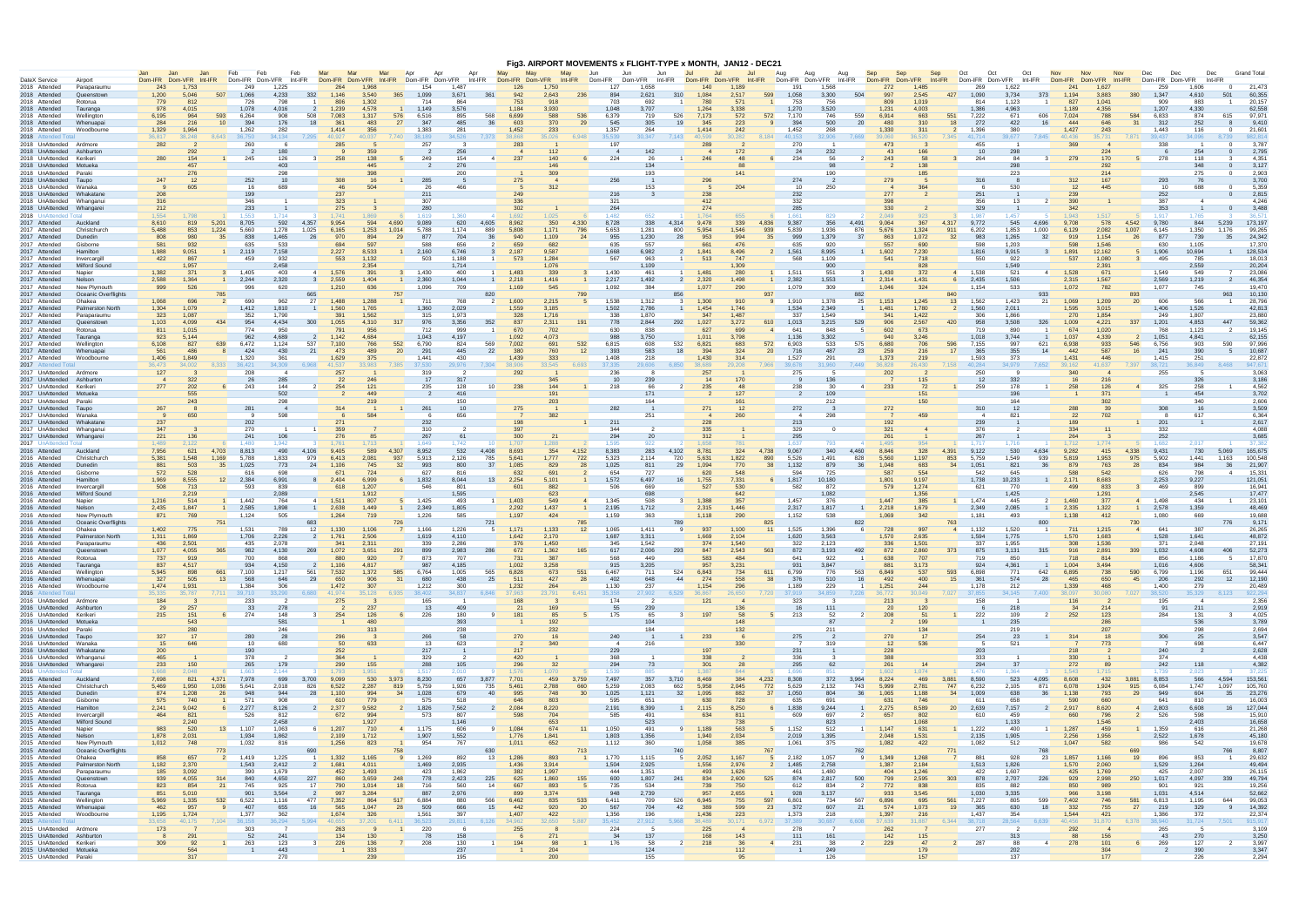|                                     |                          |                                        |                       |                               |                          |                          |                            |                        |                        |                |                |                  |                                |                 |                          |                               |                                |                         |                         | Fig3. AIRPORT MOVEMENTS x FLIGHT-TYPE x MONTH, JAN12 - DEC21 |                       |                   |                        |                 |                       |                        |                        |                       |                        |                |                |                 |                 |                |                 |                           |                |                    |
|-------------------------------------|--------------------------|----------------------------------------|-----------------------|-------------------------------|--------------------------|--------------------------|----------------------------|------------------------|------------------------|----------------|----------------|------------------|--------------------------------|-----------------|--------------------------|-------------------------------|--------------------------------|-------------------------|-------------------------|--------------------------------------------------------------|-----------------------|-------------------|------------------------|-----------------|-----------------------|------------------------|------------------------|-----------------------|------------------------|----------------|----------------|-----------------|-----------------|----------------|-----------------|---------------------------|----------------|--------------------|
|                                     |                          |                                        | Dom-IFR               | Jan,                          | Feb.                     | Feb                      | Feb                        |                        | Mar                    | Mar            | Apr            |                  | Apr                            | May             |                          | May                           | Jun                            | Jun.                    | Jun.                    | Jul                                                          | -Jul                  | Jul.              | Aug<br>Dom-IFR Dom-VFR | Aug             | Sep<br>Aug<br>Int-IFR | Sen                    | Sep                    | Oct                   | Oct                    | Oct<br>Int-IFR | <b>Nov</b>     | <b>Nov</b>      | Dom-VFR         | <b>Nov</b>     | Dec             | Dec<br>Int-IFR<br>Dom-VFR |                | <b>Grand Total</b> |
| DateX Service<br>2018 Attended      |                          | Airport<br>Paraparaumu                 | Dom-VFR<br>243        | $Int-IFR$<br>1.753            | 249                      | Dom-IFR Dom-VFR<br>1,225 | Int-IFR                    | Dom-IFR Dom-VFR<br>264 | 1.961                  | Int-IFR        | Dom-IFR<br>154 | Dom-VFR<br>1.487 | Int-IFR                        | 126             | Dom-IFR Dom-VFR<br>1,750 | Int-IFR                       | Dom-IFR                        | Dom-VFR<br>127<br>1.658 | Int-IFR                 | Dom-IFR Dom-VFR<br>140                                       | 1.189                 | Int-IFR           | 191                    | 1.568           |                       | Dom-IFR Dom-VFR<br>272 | 1.485                  | $Int-IFR$             | Dom-IFR Dom-VFR<br>269 | 1,622          |                | Dom-IFR<br>241  | 1,627           | Int-IFR        | Dom-IFR<br>259  | .606                      |                | 21,473             |
| 2018 Attended                       |                          | Queenstown                             | 1,200                 | 507<br>5.046                  | 1.066                    | 4,233                    | 332                        | 1.146                  | 3.540                  | 365            | 1.099          | 3.671            | 361                            | 942             | 2,643                    | 236                           | 894                            | 2,621                   | 310                     | 1.084                                                        | 2.517                 | 599               | 1.058                  | 3.300           | 504                   | 997                    | 2.545                  | 427                   | 1.090                  | 3,734          | 373            | 1.194           | 3.883           | 380            | 1.347           | 4.610                     | 501            | 60.355             |
| 2018 Attended                       |                          | Rotorua                                | 779                   | 812                           | 726                      | 798                      |                            | 806                    | 1,302                  |                | 714            | 864              |                                | 753             | 918                      |                               |                                | 703                     | 692                     | 780                                                          | 571                   |                   | 753                    | 756             |                       | 809                    | 1.019                  |                       | 814                    | 1,123          |                | 827             | 1,041           |                | 909             | 883                       |                | 20,157             |
| 2018 Attended<br>2018 Attended      |                          | Tauranga<br>Wellinaton                 | 978<br>6,195          | 4,015<br>593<br>964           | 1,078<br>6,264           | 4,016<br>908             | $\overline{2}$<br>508      | 1,239<br>7,083         | 4.578<br>1,317         | 576            | 1,149<br>6,516 | 3,576<br>895     | 568                            | 1,184<br>6,699  | 3,930<br>588             | 536                           | 1,048<br>6,379                 | 3,707                   | 719<br>526              | 1,264<br>7,173                                               | 3,338<br>572          | 572               | 1,270<br>7.170         | 3,520<br>746    | 559                   | 1,231<br>6,914         | 4,003<br>663           | 551                   | 1.386<br>7,222         | 4,963<br>671   | 606            | 1,189<br>7,024  | 4,356<br>788    | 584            | 1,207<br>6,833  | 4,330<br>874              | 615            | 62,558<br>97.971   |
| 2018 Attended                       |                          | Whenuapai                              | 284                   | 10 <sup>1</sup><br>216        | 394                      | 176                      | 18                         | 361                    | 483                    | 27             | 347            | 485              | 36                             | 603             |                          | 370<br>29                     | 545                            |                         | 19<br>305               | 345                                                          | 223                   | -9                | 394                    | 500             | 20                    | 480                    | 310                    | 18                    | 272                    | 422            | 16             | 444             | 646             | -31            | 312             | 252                       |                | 9,410              |
| 2018 Attended                       |                          | Woodbourne                             | 1,329<br>36.817       | 1,964<br>8,643<br>38.248      | 1,262                    | 282<br>34.134            | 7,295                      | 1,414<br>40.927        | 356<br>0.037           | 7.740          | 1,383          | 281<br>34.526    | 7,373                          | 1,452<br>38.868 | 233                      | 6,948                         | 1,357<br>35.539                | 30.347                  | 264<br>7,143            | 1,414<br>40.599                                              | 242<br>30.282         | 8.184             | 1,452<br>40.153        | 268             | 7.669                 | 1,330<br>39,060        | 311                    | 7,345                 | 1,396<br>41.714        | 380            | 7.845          | 1,427<br>40.436 | 243<br>35.731   | 7.871          | 1,443<br>39.437 | 116<br>4.096              |                | 21,601<br>82.81    |
| 2018 Attended To<br>2018 UnAttended |                          | Ardmore                                | 282                   |                               | 36,750<br>260            |                          |                            |                        |                        |                | 38,189<br>257  |                  |                                | 283             | 35,026                   |                               | 197                            |                         |                         |                                                              |                       |                   | 270                    | 32,906          |                       | 473                    | 36,520                 |                       | 455                    | 39,677         |                |                 |                 |                | 338             |                           |                | 3,787              |
| 2018 UnAttended                     |                          | Ashburto                               |                       | 292                           |                          | 180                      |                            |                        | 359                    |                |                | 256              |                                |                 |                          | 112                           |                                |                         | 142                     |                                                              | 172                   |                   | - 24                   | 232             |                       | 43                     |                        |                       | 10                     | 298            |                |                 | 224             |                |                 | 254                       |                | 2,795              |
|                                     | 2018 UnAttended          | Keriker                                | 280                   | 154<br>457                    | 245<br>$\overline{1}$    | 126                      | $\mathbf{3}$               | 258                    | 138                    | -5             | 249            | 154<br>276       | $\overline{4}$                 | 237             | 140<br>146               |                               | 6                              | 224                     | -26<br>134              | 246<br>$\overline{1}$                                        |                       | 6                 | 234                    | 56              | $\overline{2}$        | 243                    |                        | $\mathbf{3}$          | 264                    | -84            | -31            | 279             | 170             |                | 278             | 118<br>348                |                | 4.351<br>3,127     |
| 2018 UnAttended                     | 2018 UnAttended          | Motueka<br>Parak                       |                       | 276                           |                          | 403<br>298               |                            |                        |                        |                |                | 200              |                                |                 | 309                      |                               |                                |                         | 193                     |                                                              |                       |                   |                        | 190             |                       |                        | 185                    |                       |                        | 298<br>223     |                |                 | 292<br>214      |                |                 | 275                       |                | 2,903              |
| 2018 UnAttended                     |                          | Taupo                                  | 247                   | 12                            | 252                      | 10                       |                            | 308                    |                        |                | 285            |                  |                                | 275             |                          |                               |                                | 256                     |                         | 296                                                          |                       |                   | 274                    |                 |                       | 279                    |                        |                       | 316                    |                |                | 312             | 167             |                | 293             | 76                        |                | 3,700              |
| 2018 UnAttended                     |                          | Wanaka                                 |                       | 605                           | 16                       | 689                      |                            | 46                     |                        |                | 26             | 466              |                                |                 | 312                      |                               |                                |                         | 153                     |                                                              | 204                   |                   | 10                     | 250             |                       |                        |                        |                       |                        | 530            |                | 12              | 445             |                | 10              | 688                       |                | 5,359              |
| 2018 UnAttended<br>2018 UnAttended  |                          | Whakatar<br>Whanganu                   | 208<br>316            |                               | 199<br>346               |                          |                            | 237<br>323             |                        |                | 211<br>307     |                  |                                | 249<br>336      |                          |                               | 321                            | 216                     | -3                      | 238<br>412                                                   |                       |                   | 232<br>332             |                 |                       | 277<br>398             |                        |                       | 251<br>356             | 13             | $\overline{2}$ | 239<br>390      |                 |                | 252<br>387      |                           |                | 2,815<br>4,246     |
| 2018 UnAttended                     |                          | Whangare                               | 212                   |                               | 233                      |                          |                            | 275                    |                        |                | 280            |                  |                                | 302             |                          |                               | 264                            |                         |                         | 274                                                          |                       |                   | 285                    |                 |                       | 330                    |                        |                       | 329                    |                |                | 342             |                 |                | 353             |                           |                | 3,488              |
| 2018 UnAttended                     |                          |                                        | 1.554                 |                               | 1.553                    | 1.714                    |                            | 1741                   | 1869                   |                | 1.619          | 1.360            |                                | 1692            | 1.025                    |                               | 1.482                          |                         | 652                     | 1764                                                         |                       |                   | $1.66^{\circ}$         | 829             |                       | 2.049                  |                        |                       | 1.987                  | 1.457          |                | 1.943           | 1517            |                | 1.917           |                           |                | 36 5               |
| 2017 Attended<br>2017 Attended      |                          | Auckland<br>Christchurch               | 8.610<br>5,488        | 819<br>5,201<br>1,224<br>853  | 8.705<br>5,660           | 592<br>1,278             | 4,357<br>1,025             | 9.954<br>6,165         | 594<br>1,253           | 4.690<br>1,014 | 9.089<br>5,788 | 620<br>1,174     | 4,605<br>889                   | 8.962<br>5,808  | 1,171                    | 350<br>4,330<br>796           | 8,728<br>5,653                 | 1,281                   | 338<br>4.314<br>800     | 9.478<br>5,954                                               | 339<br>1,546          | 4.836<br>939      | 9.387<br>5,839         | 356<br>1,936    | 4.491<br>876          | 9.064<br>5,676         | 367<br>1,324           | 4.317<br>911          | 9,772<br>6,202         | 545<br>1,853   | 4.696<br>1,000 | 9.708<br>6,129  | 578<br>2,082    | 4.542<br>1.007 | 9.780<br>6,145  | 844<br>1,350              | 5.239<br>1.176 | 173.197<br>99,265  |
| 2017 Attended                       |                          | Dunedin                                | 808                   | 980<br>35                     | 838                      | 1,465                    | 26                         | 970                    | 894                    | 29             | 877            | 704              | -36                            | 940             | 1,109                    | 24                            | 955                            | 1,230                   | 28                      | 953                                                          | 994                   | 35                | 999                    | 1,379           | 37                    | 863                    | 1,072                  | 32                    | 983                    | 1,265          | 32             | 919             | 1,154           | 26             | 877             | 739                       |                | 24,342             |
| 2017 Attended                       |                          | Gisborne                               | 581                   | 932                           | 635                      | 533                      |                            | 694                    | 59                     |                | 588            | 656              |                                | 659             | 682                      |                               | 635                            |                         | 557                     |                                                              | 476                   |                   | 635                    | 920             |                       | 557                    | 690                    |                       | 598                    | 1,203          |                |                 | 1.546           |                | 630             | 1,105                     |                | 17.370             |
| 2017 Attended<br>2017 Attended      |                          | Hamilton<br>Invercargill               | 1,988<br>422          | 9,051<br>867                  | 1<br>2,119<br>459        | 7,158<br>932             |                            | 2,227<br>553           | 8,533<br>1.132         |                | 2,160<br>503   | 6,746<br>1.188   | $\mathbf{3}$<br>$\overline{1}$ | 2,187<br>573    | 9,587<br>1,284           |                               | 1,668                          | 567                     | 6,982<br>963            | 1,841<br>2<br>513                                            | 8,496<br>747          |                   | 1,561<br>568           | 8,995<br>1,109  |                       | 1,602<br>541           | 7,230<br>718           |                       | 1,816<br>550           | 9,915<br>922   | -3             | 1,891<br>537    | 12,162<br>1,080 |                | 1,906<br>495    | 10,694<br>785             |                | 128,534<br>18.013  |
| 2017 Attended                       |                          | Milford Sound                          |                       | 1.957                         |                          | 2,458                    |                            |                        | 2.354                  |                |                | 1.714            |                                |                 | 1.076                    |                               |                                |                         | 1.109                   |                                                              | 1.309                 |                   |                        | 900             |                       |                        | 828                    |                       |                        | 1.549          |                |                 | 2.391           |                |                 | 2,559                     |                | 20,204             |
| 2017 Attended                       |                          | Napier                                 | 1,382                 | 371                           | 1,405                    | 403                      | $\overline{4}$             | 1,576                  | 391                    | -3             | 1,430          | 400              | $\mathbf{1}$                   | 1.483           | 339                      | -3                            | 1,430                          |                         | 461                     | 1,481                                                        | 280                   |                   | 1,511                  | 551             |                       | 1,430                  | 372                    | $\overline{4}$        | 1,538                  | 521            | $\sim$ 4       | 1,528           | 671             |                | 1.549           | 549                       |                | 23,086             |
| 2017 Attended<br>2017 Attended      |                          | Nelson<br>New Plymouth                 | 2,588                 | 1,364<br>526                  | 2,244<br>1<br>996        | 2,320<br>620             | $\overline{\mathbf{3}}$    | 2,559<br>1,210         | 1,404<br>636           | 1              | 2,360<br>1,096 | 1,044<br>709     | $\overline{1}$                 | 2,218<br>1,169  | 1,416<br>545             |                               | 2,217<br>$\mathbf{1}$<br>1,092 | 1,492                   | 384                     | 2,320<br>$\overline{2}$<br>1,077                             | 1,498<br>290          |                   | $1 \t 2,382$<br>1,079  | 1,553<br>309    |                       | 2,314<br>1,046         | 1,431<br>324           | $6$ 2,435             | 1,154                  | 1,506<br>533   |                | 2,315<br>1,072  | 1,567<br>782    |                | 2,569<br>1,077  | 1,219<br>745              |                | 46,354<br>19.470   |
| 2017 Attended                       |                          | Oceanic Overflight                     | 999                   | 785                           |                          |                          | 665                        |                        |                        | 757            |                |                  | 820                            |                 |                          | 799                           |                                |                         | 856                     |                                                              |                       | 937               |                        |                 | 882                   |                        |                        | 840                   |                        |                | 933            |                 |                 | 893            |                 |                           |                | 10,130             |
| 2017 Attended                       |                          | Ohakea                                 | 1,068                 | 696                           | 690                      | 962                      | 27                         | 1,488                  | 1,288                  |                | 711            | 768              | $\overline{2}$                 | 1,600           | 2,215                    |                               | 1,538                          | 1,312                   |                         | 1,300                                                        | 910                   |                   | 1,910                  | 1,378           | 25                    | 1,153                  | 1,245                  | 13                    | 1,562                  | 1,423          | 21             | 1,069           | 1,209           | 20             | 606             |                           |                | 28,796             |
| 2017 Attended                       |                          | <b>Palmerston Nort</b>                 | 1,304<br>323          | 1.079<br>1.087                | 1,412<br>352             | 1.810<br>1,790           |                            | 1,560<br>391           | 1.765<br>1,562         |                | 1.360          | 2.029<br>1.973   |                                | 1.559<br>328    | 3.185<br>1,716           |                               | 1.502<br>338                   | 2,786<br>1.870          |                         | 1,454<br>347                                                 | 1.746<br>1.48         |                   | 1.534<br>337           | 2.349<br>1,549  |                       | 1,481<br>341           | 1.780<br>1,422         | $\overline{2}$        | 1,560                  | 2.011<br>1,866 |                | 1,595<br>270    | 3,015<br>1,854  |                | 1.406<br>249    | 1.526<br>1,807            |                | 42,813<br>23,880   |
| 2017 Attended<br>2017 Attended      |                          | Paraparaumu<br>Queenstow               | 1,103                 | 4,099<br>434                  | 954                      | 4,434                    | 300                        | 1,055                  | 4,310                  | 317            | 315<br>976     | 3,356            | 352                            | 837             | 2,311                    | 191                           | 778                            | 2,844                   | 292                     | 1,027                                                        | 3,272                 | 610               | 1,013                  | 3,215           | 529                   | 906                    | 2,567                  | 420                   | 306<br>958             | 3,508          | 326            | 1,009           | 4,221           | 337            | 1,201           | 4,853                     | 447            | 59,362             |
| 2017 Attended                       |                          | Rotorua                                | 811                   | 1.015                         | 774                      | 950                      |                            | 791                    |                        |                | 712            | 999              |                                | 670             | 702                      |                               |                                | 630                     | 838                     | 62                                                           | 699                   | $\overline{a}$    | 641                    | 848             |                       | 602                    | 673                    |                       | 719                    | 890            |                | 674             | 1,020           |                | 768             | 1,123                     |                | 19.145             |
| 2017 Attended                       |                          | Tauranga<br>Wellinator                 | 923<br>6,108          | 5.144<br>639<br>827           | 962<br>6,472             | 4,689<br>1,124           | 537                        | 1,142<br>7,100         | 4,684<br>766           | 552            | 1,043<br>6,790 | 4,197<br>824     | 569                            | .092<br>7,002   | 4,073<br>691             | 532                           | 988<br>6,815                   |                         | 3,750<br>532<br>608     | 1,011<br>6,821                                               | 3,798<br>683          | 572               | 1,136<br>6,903         | 3,302<br>533    | 575                   | 940<br>6,680           | 3,246<br>706           | 596                   | 1.018<br>7,155         | 3,744<br>997   | 621            | 1,037<br>6,938  | 4,339<br>933    | 546            | 1,051<br>6,756  | 4.841<br>903              | 590            | 62,155<br>97,996   |
| 2017 Attended<br>2017 Attended      |                          | Whenuapa                               | 561                   | 486                           | 424                      | 430                      | 21                         | 473                    | 489                    | 20             | 291            | 445              | 22                             | 380             | 760                      | 12                            | 393                            |                         | 583                     | 18<br>394                                                    | 324                   | 20                | 716                    | 487             | 23                    | 259                    | 216                    | 17                    | 365                    | 355            | 14             | 442             | 587             | 16             | 241             | 390                       |                | 10.687             |
| 2017 Attended                       |                          | Woodbourne                             | 1,406                 | 1.849                         | 1,320                    | -361                     |                            | 1,629                  | 375                    |                | 1.441          | 430              |                                | 1,439           | 333                      |                               | 1,408                          |                         | 218                     | 1,430                                                        | 314                   |                   | 1,527                  | 29'             |                       | 1,373                  | 219                    |                       | 1.593                  | -373           |                | 1,431           | 446             |                | 1,415           | -251                      |                | 22,872             |
| 2017 Attended 7                     |                          |                                        | 36,473                | 34.002                        | 8,333 36,421             | 34.309                   | 6,968                      | 41.537                 | 13.983                 | 7.385          | 37,530         | 29.976           | 7,304                          | 38,906          | 33,545                   | 6,693                         | 37,335                         | 29,606                  | 6,850                   | 38,689                                                       | 29.208                | 7.966             | 39,678                 | 31,960          | 7.449                 | 36.828                 | 26,430                 | 7,158 40,284          |                        | 34,979         | 7,652          | 39.162          | 41.637          | 7.397          | 38,721          | 36,849                    |                | 947.671            |
| 2017 UnAttended<br>2017 UnAttended  |                          | Ardmore<br>Ashburto                    | 127<br>$\overline{4}$ | 322                           | 208<br>26                | $\mathbf{A}$<br>285      |                            | 257<br>22              | 246                    |                | 319<br>17      | 317              |                                | 292             | 345                      |                               | 236                            |                         | 239                     | 257                                                          | 170                   |                   | 275                    | 136             |                       | 202                    | 115                    |                       | 250<br>12              | 332            |                | 340             | 216             |                | 255             | 326                       |                | 3,063<br>3,186     |
|                                     | 2017 UnAttended          | Keriker                                | 277                   | 202                           | 243                      | 144                      |                            | 254                    | 121                    |                | 235            | 128              | 10 <sup>1</sup>                | 238             | 144                      |                               |                                | 218                     |                         | 235                                                          |                       |                   | 238                    | 30              |                       | 233                    | 72                     |                       | 259                    | 178            |                | 258             | 126             |                | 325             | 258                       |                | 4,562              |
| 2017 UnAttended                     |                          | Motueka                                |                       | 555                           |                          | 502                      |                            |                        | 44 <sup>°</sup><br>219 |                |                | 416<br>150       |                                |                 | 191<br>203               |                               |                                |                         | 171<br>164              |                                                              | 127                   |                   |                        | 10 <sup>c</sup> |                       |                        | 15 <sup>1</sup><br>150 |                       |                        | 196<br>164     |                |                 | 371             |                |                 | 454<br>340                |                | 3,702              |
| 2017 UnAttended<br>2017 UnAttended  |                          | Parak<br>Taupo                         | 267                   | 243                           | 281                      | 298                      |                            | 314                    |                        |                | 261            | 10               |                                | 275             |                          |                               | 282                            |                         |                         | 271                                                          | 12                    |                   | 272                    | 212             |                       | 272                    |                        |                       | 310                    | 12             |                | 288             | 302<br>39       |                | 308             |                           |                | 2,606<br>3,509     |
|                                     | 2017 UnAttended          | Wanaka                                 |                       | 650                           |                          | 598                      |                            |                        | 584                    |                |                | 656              |                                |                 | 382                      |                               |                                |                         | 251                     |                                                              | 260                   |                   | 4                      | 298             |                       |                        |                        |                       | -4                     | 821            |                | 22              | 702             |                |                 | 617                       |                | 6,364              |
| 2017 UnAttended                     |                          | Whakatan                               | 237                   |                               | 202                      |                          |                            | 271                    |                        |                | 232            |                  |                                | 198             |                          |                               | 211                            |                         |                         | 228                                                          |                       |                   | 213                    |                 |                       | 192                    |                        |                       | 239                    |                |                | 189             |                 |                | 201             |                           |                | 2,617              |
| 2017 UnAttended<br>2017 UnAttended  |                          | Whangani<br>Whangare                   | 347<br>221            | 136                           | 270<br>241               | 106                      |                            | 359                    | -85                    |                | 310<br>267     |                  |                                | 397<br>300      |                          |                               | 294                            | 344                     | 20                      | 335<br>312                                                   |                       |                   | 329<br>295             |                 |                       | 321<br>261             |                        |                       | 376<br>267             |                |                | 334<br>264      |                 |                | 332<br>252      |                           |                | 4,088<br>3.685     |
| 2017 UnAttended 7                   |                          |                                        | 1.489                 | 2.122                         | 1.480                    | 1942                     |                            |                        |                        |                | 1.649          | 1 742            |                                |                 | .288                     |                               | 1.59                           |                         | 922                     | 1.658                                                        |                       |                   | 1.637                  | 793             |                       | 1.495                  | 954                    |                       | 1 7 1 7                | 1 716          |                | 171'            | 1 774           |                | 1 682           | 2 O 11                    |                | 37.382             |
| 2016 Attended                       |                          | Auckland                               | 7,956                 | 621<br>4,703                  | 8,813                    | 490                      | 4,106                      | 9,405                  | 589                    | 4.307          | 8,952          | 532              | 4,408                          | 8,693           |                          | 354<br>4,152                  | 8,383                          |                         | 4,102<br>283            | 8,781                                                        | 324                   | 4,738             | 9,067                  | 340             | 4,460                 | 8,846                  | 328                    | 4,391                 | 9,122                  | 530            | 4,634          | 9,282           | 415             | 4.338          | 9,431           | 730                       | 5.069          | 165,675            |
| 2016 Attended<br>2016 Attended      |                          | Christchurcl<br>Dunedin                | 5,381<br>881          | 1.548<br>1,169<br>35<br>503   | 5.788<br>1,025           | 1,833<br>773             | 979<br>24                  | 6,413<br>1,106         | 2,081<br>745           | 937<br>32      | 5,913<br>993   | 2,126<br>800     | 785<br>37                      | 5.641<br>1,085  | 1,777<br>829             | 722<br>28                     | 5,323<br>1,025                 | 2.114                   | 720<br>811<br>29        | 5,631<br>1,094                                               | 1,822<br>770          | 890<br>38         | 5,526<br>1,132         | 1.491<br>879    | 828<br>36             | 5,560<br>1,048         | 1,197<br>683           | 853<br>34             | 5,759<br>1,051         | 1.549<br>821   | 939<br>36      | 5.819<br>879    | 1,953<br>763    | 975<br>28      | 5,902<br>834    | 1.441<br>984              | 1.163<br>36    | 100.548<br>21,907  |
| 2016 Attended                       |                          | Gisborne                               | 572                   | 528                           | 616                      | 698                      |                            | 671                    | 724                    |                | 627            | 816              |                                | 632             | 691                      |                               |                                | 654                     | 727                     | 620                                                          | 548                   |                   | 594                    | 725             |                       | 587                    | 554                    |                       | 542                    | 645            |                |                 | 542             |                | 626             | 798                       |                | 15,331             |
| 2016 Attended                       |                          | Hamilton                               | 1,969                 | 8.555                         | 2,384<br>12              | 6,991                    | 8                          | 2,404                  | 6.999                  | 6              | 1,832          | 8.044            | 13                             | 2,254           | 5.101                    |                               | 1,572                          | 6.497                   |                         | 16<br>1,755                                                  | 7,331                 | 6                 | 1,817                  | 10.180          |                       | 1.801                  | 9.197                  |                       | 1,738                  | 10,233         | $\overline{1}$ | 2.171           | 8.683           |                | 2,253           | 9,227                     |                | 121.051            |
| 2016 Attended<br>2016 Attended      |                          | Invercargill<br>Milford Sound          | 508                   | 713<br>2,219                  | 593                      | 839<br>2,089             |                            | 618                    | 1,207<br>1,912         |                | 546            | 801<br>1,595     |                                | 601             | 882<br>623               |                               | 506                            |                         | 669<br>698              | 527                                                          | 530<br>642            |                   | 582                    | 872<br>1,082    |                       | 579                    | 1,274<br>1,356         |                       | 621                    | 770<br>1,425   |                | 499             | 833<br>1,291    |                | 469             | -899<br>2,545             |                | 16,941<br>17,477   |
| 2016 Attended                       |                          | Napier                                 | 1,216                 | 514                           | $\overline{1}$<br>1.442  | 764                      | $\sim$ 4                   | 1,511                  | 80                     |                | 1,425          | 493              | $\blacksquare$                 | 1,403           | 549                      |                               | 1,345<br>$\overline{4}$        |                         | 508                     | $\mathbf{3}$<br>1,388                                        | 35 <sub>1</sub>       |                   | 1.457                  | 376             |                       | 1.447                  | 385                    | $\overline{1}$        | 1.474                  | 445            |                | 1,460           | 377             |                | 1.498           | 434                       |                | 23,101             |
| 2016 Attended                       |                          | <b>Nelson</b>                          | 2,435                 | 1.847                         | 1<br>2,585               | 1,898                    | $\overline{1}$             | 2,638                  | 1,449                  | $\mathbf{1}$   | 2,349          | 1,805            |                                | 2,292           | 1,437                    |                               | 2,195<br>$\mathbf{1}$          |                         | 1,712                   | 2,315                                                        | 1,446                 |                   | 2,317                  | 1,817           | $\overline{1}$        | 2,218                  | 1,679                  |                       | 2,349                  | 2,085          |                | 2,335           | 1,322           | $\blacksquare$ | 2,578           | 1,359                     |                | 48.469             |
| 2016 Attended<br>2016 Attended      |                          | New Plymouth<br>Oceanic Overflight     | 871                   | 769<br>75'                    | 1,124                    | 505                      | 683                        | 1,264                  | 719                    |                | 1,226          | 585              | 721                            | 1,197           | 424                      |                               | 1,159                          |                         | 363                     | 1,118                                                        | 290                   | 825               | 1,152                  | 538             | 822                   | 1,069                  | 342                    | 763                   | 1,181                  | 493            |                | 1,138           | 412             | 730            | 1,080           | 669                       | 776            | 19,688<br>9,171    |
| 2016 Attended                       |                          | Ohakea                                 | 1,402                 | 775                           | 1,531                    | 789                      | 12                         | 1,130                  | 1,106                  |                | 1,166          | 1,226            | -5                             | 1.171           | 1,133                    | 12                            | 1,065                          | 1.411                   |                         | 937<br><b>q</b>                                              | 1,100                 | 11                | 1,525                  | 1,396           |                       | 728                    | 997                    | $\mathbf{A}$          | 1,132                  | 1,520          |                | 711             | 1,215           |                | 641             | 387                       |                | 26,265             |
| 2016 Attended                       |                          | Palmerston Nort                        | 1,311                 | 1,869                         | 1,706                    | 2,226                    |                            | 1,761                  | 2,506                  |                | 1,619          | 4,110            |                                | 1,642           | 2,170                    |                               | 1,687                          | 3,311                   |                         | 1,669                                                        | 2,104                 |                   | 1,620                  | 3,563           |                       | 1,570                  | 2,635                  |                       | 1,594                  | 1,775          |                | 1,570           | 1,683           |                | 1,528           | 1,641                     |                | 48,872             |
| 2016 Attended<br>2016 Attended      |                          | Paraparaumu                            | 436<br>1,077          | 2,501<br>4,055                | 435<br>982               | 2,078<br>4,130           | 269                        | 341<br>1,072           | 2,311<br>3,651         | 291            | 339<br>899     | 2,286<br>2,983   | 286                            | 376<br>672      | 1,450<br>1,362           |                               | 165                            | 345<br>1.542<br>617     | 2,006<br>293            | 374<br>847                                                   | 1.540<br>2,543        | 563               | 322<br>872             | 2,123<br>3,193  | 492                   | 336<br>872             | 1,501<br>2,860         | 373                   | 337<br>875             | 1,955<br>3,131 | 315            | 308<br>916      | 1,536<br>2,891  | 309            | 371<br>1,032    | 2,048<br>4,608            |                | 27,191<br>52,273   |
| 2016 Attended                       |                          | Rotorua                                | 737                   | 919                           | 700                      | 868                      |                            | 880                    | 920                    | $\overline{7}$ | 873            | 707              |                                | 731             | 387                      |                               |                                | 568                     | 449                     | 583                                                          | 484                   |                   | 641                    | 922             | $\blacksquare$        | 638                    | 707                    |                       | 719                    | 850            |                | 718             | 814             |                | 856             | 1,186                     | - 5            | 17,870             |
| 2016 Attended                       |                          | Tauranga                               | 837                   | 4,517                         | 934                      | 4,150                    | $\overline{\phantom{0}}^2$ | 1,106                  | 4,817                  |                | 987            | 4,185            |                                | 1,002           | 3,258                    |                               | 915                            | 3,205                   |                         | 957                                                          | 3,231                 |                   | 931                    | 3.847           |                       | 881                    | 3,173                  |                       | 924                    | 4,361          |                | 1,004           | 3,494           |                | 1,016           | 4,606                     |                | 58,341             |
| 2016 Attended<br>2016 Attended      |                          | Wellington<br>Whenuapai                | 5,945<br>327          | 898<br>661<br>505<br>13       | 7,100<br>568             | 1,217<br>646             | 561<br>29                  | 7,532<br>650           | 1,372<br>906           | 585<br>31      | 6,764<br>680   | 1,005<br>438     | 565<br>25                      | 6,828<br>511    |                          | 673<br>551<br>427<br>28       | 6,467<br>402                   |                         | 711<br>524<br>648<br>44 | 6,843<br>274                                                 | 734<br>558            | 611<br>38         | 6,799<br>376           | 776<br>510      | 563<br>16             | 6,849<br>492           | 537<br>400             | 593<br>15             | 6,898<br>361           | 771<br>574     | 642<br>28      | 6,895<br>465    | 738<br>650      | 590<br>45      | 6,799<br>206    | 1,196<br>292              | 651<br>12      | 99,444<br>12,190   |
| 2016 Attended                       |                          | Woodbourne                             | 1,474                 | 1,931                         | 1,384                    | 306                      |                            | 1,472                  | 307                    |                | 1,212          | 300              |                                | 1,232           | 264                      |                               | 1,130                          |                         | 237                     | 1,154                                                        | 296                   |                   | 1,189                  | 229             |                       | 1,251                  | 244                    |                       | 1,178                  | 212            |                | 1,339           | 468             |                | 1,400           | 279                       |                | 20,489             |
|                                     | 2016 Attended Tota       |                                        | 35.335                | 35.787                        | 7,711 39,710             | 33,290                   | 6.680                      | 41.974                 | 35.128                 | 6.935          | 38,402         | 34.837           | 6.846                          | 37,963          | 23.791                   | 6.451                         | 35,358                         |                         | 27,902<br>6,529         | 36,867                                                       | 26.650                | 7,720             | 37,919                 | 34,859          | 7.226                 | 36,772                 | 30.049                 | 7.027                 | 37,855                 | 34.145         | 7.400          | 38,097          | 30,080          | 7.027          | 38,520          | 35,329                    | 8.123          | 922,294            |
| 2016 UnAttended                     | 2016 UnAttended Ardmore  | Ashburton                              | 184<br>29             | 257                           | 233<br>33                |                          |                            | 275                    | 237                    |                | 165<br>13      | 409              |                                | 168<br>21       |                          | 169                           |                                | 174<br>55               | 239                     | 121                                                          | $\overline{4}$<br>136 |                   | 323<br>16              | 111             |                       | 213<br>20              | 120                    |                       | 158                    | 218            |                | 116<br>34       | 214             |                | 195<br>91       | 211                       |                | 2,356<br>2.919     |
| 2016 UnAttended                     |                          | Kerikeri                               | 215                   | 151                           | 274<br>6                 | 278<br>148               | -3                         | 254                    | 126                    | 6              | 226            | 180              | -9                             | 181             | 85                       |                               | 5                              | 175                     | 65                      | 197<br>$3^{\circ}$                                           |                       | 5                 | 213                    | 52              | -2                    | 208                    | 5 <sup>′</sup>         | $\overline{1}$        | 222                    | 109            | 2              | 252             | 123             |                | 284             | 131                       | -3             | 4,025              |
| 2016 UnAttended                     |                          | Motueka                                |                       | 543                           |                          | 581                      |                            |                        | 480                    |                |                | 393              |                                |                 | 192                      |                               |                                |                         | 104                     |                                                              | 148                   |                   |                        | 87              |                       |                        | 199                    |                       |                        | 235            |                |                 | 286             |                |                 | 536                       |                | 3,789              |
| 2016 UnAttended<br>2016 UnAttended  |                          | Parak<br>Taupo                         | 327                   | 280<br>17                     | 280                      | 246<br>28                |                            | 296                    | 313                    |                | 266            | 238<br>58        |                                | 270             |                          | 232<br>16                     |                                | 240                     | 184                     | 233<br>$\overline{1}$                                        | 132                   |                   | 275                    | 211<br>- 2      |                       | 270                    | 134<br>17              |                       | 254                    | 219<br>23      |                | 314             | 207<br>-18      |                | 306             | 298<br>25                 |                | 2,694<br>3,547     |
| 2016 UnAttended                     |                          | Wanaka                                 | 15                    | 646                           | 10                       | 680                      |                            | 50                     | 633                    |                | 13             | 623              |                                |                 |                          | 340                           |                                |                         | 216                     |                                                              | 330                   |                   |                        | 319             |                       | 12                     | 536                    |                       |                        | 521            |                |                 | 773             |                |                 | 698                       |                | 6,447              |
|                                     |                          | 2016 UnAttended Whakatane              | 200                   |                               | 190                      |                          |                            | 252                    |                        |                | 217            |                  |                                | 217             |                          |                               |                                | 229                     |                         | 197                                                          |                       |                   | 231                    |                 |                       | 228                    |                        |                       | 203                    |                |                | 218             |                 |                | 240             |                           |                | 2,628              |
| 2016 UnAttended                     |                          | 2016 UnAttended Whanganui<br>Whangarei | 465<br>233            | 150                           | 378<br>265               | 179                      |                            | 364<br>299             | 155                    |                | 329<br>288     | 105              |                                | 420<br>296      | 32                       |                               |                                | 368<br>294              | 73                      | 338<br>301                                                   | 28                    |                   | 336<br>295             | 62              |                       | 388<br>261             | 14                     |                       | 333<br>294             | -37            |                | 330<br>272      | 89              |                | 374<br>242      | 118                       |                | 4,438<br>4,382     |
|                                     | 2016 UnAttended Total    |                                        | 1,668                 | 2.048                         | 1.663                    | 2.144                    |                            | 1.793                  | 1.951                  |                | 1.517          | 2.010            |                                | 1.576           | 1.070                    |                               | 1.539                          |                         | 885                     | 1.387                                                        | 844                   |                   | 1,696                  | 851             |                       | 1.602                  | .074                   |                       | 1.476                  | 1.364          |                | 1.543           | 1.715           |                | 1.739           | 2.023                     |                | 37.225             |
| 2015 Attended                       |                          | Auckland                               | 7,698                 | 4,371<br>821                  | 7,978                    | 699                      | 3,700                      | 9,099                  | 530                    | 3,973          | 8,230          | 657              | 3,877                          | 7,701           |                          | 459<br>3,759                  | 7,497                          |                         | 357<br>3,710            | 8,469                                                        | 384                   | 4,232             | 8,308                  | 372             | 3,964                 | 8,224                  | 469                    | 3,881                 | 8,590                  | 523            | 4,095          | 8,608           | 432             | 3.881          | 8,853           | 566                       | 4.594          | 153,561            |
| 2015 Attended<br>2015 Attended      |                          | Christchurch<br>Dunedin                | 5,469<br>874          | 1,036<br>1,950<br>1,208<br>26 | 5,641<br>948             | 2,018<br>944             | 826<br>28                  | 6,522<br>1,100         | 2,287<br>994           | 819<br>34      | 5,759<br>1,028 | 1,926<br>679     | 735<br>40                      | 5,461<br>995    | 2,788                    | 660<br>748<br>30 <sup>°</sup> | 5,259<br>1,025                 | 1,121                   | 2,083<br>662<br>32      | 5,958<br>1,095                                               | 2,045<br>882          | 772<br>37         | 5,629<br>1,050         | 2,132<br>804    | 743<br>36             | 5,999<br>1,065         | 2,781<br>1,188         | 747<br>34             | 6,232<br>1,009         | 2,105<br>638   | 871<br>36      | 6,078<br>1,138  | 1,924<br>793    | 915<br>29      | 6,084<br>949    | 1,747<br>604              | 1,097<br>35    | 105,760<br>23,276  |
| 2015 Attended                       |                          | Gisborne                               | 575                   | 740                           | 571                      | 908                      |                            | 610                    | 779                    |                | 575            | 518              |                                | 646             | 803                      |                               | 595                            |                         | 651                     | 630                                                          | 728                   |                   | 635                    | 691             |                       | 631                    | 746                    |                       | 611                    | 658            |                | 590             | 660             |                | 641             | 810                       |                | 16,003             |
| 2015 Attended                       |                          | Hamilton                               | 2,241                 | 9,042                         | $6\overline{6}$<br>2,277 | 8,126                    | $\overline{2}$             | 2,377                  | 9,582                  | 2              | 1,826          | 7,562            | $\overline{2}$                 | 2,084           | 8,220                    |                               | 2,191                          | 8,399                   |                         | 2,115<br>$\overline{1}$                                      | 8,250                 | 6 <sup>6</sup>    | 1,838                  | 9,244           |                       | 2,275                  | 8,589                  | 20 2,639              |                        | 7,157          | -2             | 2,917           | 8,620           |                | 4 2,803         | 6,608                     | 16             | 127,044            |
| 2015 Attended                       |                          | Invercargill                           | 464                   | 821                           | 526                      | 812                      |                            | 672                    | 994                    |                | 573            | 807              |                                | 598             | 704                      |                               |                                | 585                     | 491                     | 634                                                          | 811                   |                   | 609                    | 697             |                       | 657                    | 802                    |                       | 610                    | 459            |                | 660             | 796             | $\overline{2}$ | 526             | 598                       |                | 15,910<br>16,658   |
| 2015 Attended<br>2015 Attended      |                          | Milford Sound<br>Napier                | 983                   | 2,240<br>520                  | 13 1,107                 | 2,458<br>1,063           | 6                          | 1,207                  | 1,927<br>710           | $\overline{4}$ | 1,175          | 1,146<br>606     | 9                              | 1,084           | 653                      | 674<br>11                     | 1,050                          |                         | 523<br>491              | 1,189<br>$9^{\circ}$                                         | 738<br>563            | 5                 | 1,152                  | 823<br>512      | $\overline{1}$        | 1,147                  | 1,068<br>631           |                       | 1,222                  | 1,133<br>400   | 1              | 1,287           | 1,546<br>459    |                | 1,359           | 2,403<br>616              |                | 21,268             |
| 2015 Attended                       |                          | <b>Nelson</b>                          | 1,878                 | 2,031                         | 1,934                    | 1,862                    |                            | 2,109                  | 1,712                  |                | 1,907          | 1,552            |                                | 1,776           | 1.841                    |                               | 1,803                          | 1,356                   |                         | 1,940                                                        | 2,034                 |                   | 2,019                  | 1,395           |                       | 2,048                  | 1,531                  |                       | 2,135                  | 1,905          |                | 2,256           | 1,956           |                | 2,522           | 1,678                     |                | 45,180             |
| 2015 Attended                       |                          | New Plymouth                           | 1,012                 | 748                           | 1,032                    | 816                      |                            | 1,256                  | 823                    |                | 954            | 767              |                                | 1,011           | 652                      |                               | 1,112                          |                         | 360                     | 1,058                                                        | 385                   |                   | 1,061                  | 375             |                       | 1,082                  | 422                    |                       | 1,082                  | 512            |                | 1,047           | 582             |                | 986             | 542                       |                | 19,678             |
| 2015 Attended<br>2015 Attended      |                          | Oceanic Overflights<br>Ohakea          | 858                   | 773<br>657<br>$\overline{2}$  | 1,419                    | 1,225                    | 690                        | 1,332                  | 1,165                  | 758            | 1,269          | 892              | 630<br>13                      | 1,286           | 893                      | 713                           | 1,770                          | 1,115                   | 740                     | 2,052                                                        | 1,167                 | 767<br>$\sqrt{5}$ | 2,182                  | 1,057           | 762                   | 1,349                  | 1,268                  | 771<br>$\overline{7}$ | 881                    | 928            | 768<br>23      | 1,857           | 1,166           | 669<br>19      | 896             | 853                       |                | 8,807<br>29,632    |
| 2015 Attended                       |                          | <b>Palmerston North</b>                | 1,182                 | 2,370                         | 1,543                    | 2,412                    |                            | 1,681                  | 4,011                  |                | 1,469          | 2,935            |                                | 1,436           | 3,914                    |                               | 1,504                          | 2,925                   |                         | 1,556                                                        | 2,976                 | $\overline{2}$    | 1,485                  | 2,758           |                       | 1,387                  | 2,184                  |                       | 1,513                  | 1,826          |                | 1,570           | 2,060           |                | 1,529           | 1,264                     |                | 49,494             |
| 2015 Attended                       |                          | Paraparaumu                            | 185                   | 3,092                         | 390                      | 1,679                    |                            | 452                    | 1,493                  |                | 423            | 1,862            |                                | 382             | 1,997                    |                               |                                | 1,351<br>444            |                         | 493                                                          | 1,626                 |                   | 461                    | 1,480           |                       | 404                    | 1,246                  |                       | 422                    | 1,607          |                | 425             | 1,769           |                | 425             | 2,007                     |                | 26,115             |
| 2015 Attended<br>2015 Attended      |                          | Queenstown<br>Rotorua                  | 939<br>823            | 314<br>4,055<br>21<br>854     | 840<br>745               | 4,650<br>925             | 227<br>17                  | 860<br>790             | 3,659<br>1,014         | 248<br>18      | 778<br>716     | 2,423<br>560     | 225<br>14                      | 625<br>667      | 1,860<br>893             | 155<br>5                      |                                | 1,807<br>600<br>735     | 241<br>534              | 834<br>739                                                   | 2,600<br>750          | 525               | 874<br>612             | 2,817<br>834    | 500                   | 799<br>772             | 2,595<br>838           | 303                   | 878<br>835             | 2,707<br>882   | 226            | 929<br>850      | 2,998<br>989    | 250            | 1,017<br>901    | 4,097<br>921              | 339            | 49,794<br>19,256   |
| 2015 Attended                       |                          | Tauranga                               | 851                   | 5,010                         | 901                      | 3,564                    |                            | 997                    | 3,284                  |                | 887            | 2,976            |                                | 899             | 3,374                    |                               | 948                            | 2,739                   |                         | 957                                                          | 2,655                 | 1                 | 928                    | 3,137           |                       | 933                    | 3,545                  |                       | 1,030                  | 3,335          |                | 966             | 3,198           |                | 1,031           | 4,514                     |                | 52,662             |
| 2015 Attended                       |                          | Wellington                             | 5,969                 | 532<br>1,335                  | 6,522                    | 1,116                    | 477                        | 7,352                  | 864                    | 517            | 6,884          | 880              | 566                            | 6,462           |                          | 835<br>533                    | 6,411                          |                         | 526<br>709              | 6,945                                                        | 755                   | 597               | 6,801                  | 734             | 567                   | 6,896                  | 695                    | 561                   | 7,227                  | 805            | 599            | 7,402           | 746             | 581            | 6,813           | 1,195                     | 644            | 99,053             |
| 2015 Attended<br>2015 Attended      |                          | Whenuapai<br>Woodbourne                | 462<br>1,195          | 957<br>9<br>1,724             | 407<br>1,377             | 655<br>362               | 16                         | 565<br>1,674           | 1,047<br>326           | 28             | 509<br>1,561   | 666<br>397       | 15                             | 442<br>1,407    | 422                      | 920<br>20                     | 567<br>1,356                   |                         | 704<br>42<br>196        | 389<br>1,436                                                 | 599<br>223            | 23                | 372<br>1,373           | 607<br>218      | 21                    | 574<br>1,397           | 1,073<br>216           | 19                    | 365<br>1,437           | 630<br>354     | 18             | 332<br>1,544    | 755<br>421      | 27             | 219<br>1,386    | 329<br>372                | -9             | 14,392<br>22,374   |
|                                     | 2015 Attended Tota       |                                        | 33,658                | 40,175                        | 7,104 36,158             | 36,294                   | 5,994                      | 40,655                 | 37,201                 | 6,411          | 36,523         | 29,811           | 6,126                          | 34,962          | 32,650                   | 5,887                         | 35,452                         | 27,912                  | 5,968                   | 38,489                                                       | 30,171                | 6,972             | 37,389                 | 30,687          | 6,608                 | 37,639                 | 31,887                 | 6,344                 | 38,718                 | 28,564         | 6,639          | 40,456          | 31,870          | 6,378          | 38,940          | 31,724                    | 7,501          | 915.917            |
|                                     | 2015 UnAttended Ardmore  |                                        | 173                   |                               | 303                      |                          |                            | 263                    |                        | $\overline{1}$ | 220            | -6               |                                | 255             |                          |                               |                                | 224                     |                         | 225                                                          |                       |                   | 278                    |                 |                       | 262                    |                        |                       | 277                    |                |                | 292             |                 |                | 265             |                           |                | 3,109              |
| 2015 UnAttended                     | 2015 UnAttended Kerikeri | Ashburto                               | 309                   | 291<br>92<br>$\overline{1}$   | 52<br>263                | 241<br>123               |                            | 134<br>226             | 130<br>136             |                | 78<br>208      | 158<br>130       | $\overline{1}$                 | 194             | 271                      |                               |                                | 34<br>176               | 137<br>58               | 168<br>218<br>$\overline{2}$                                 | 143                   | $\overline{4}$    | 111<br>231             | 16'<br>-38      |                       | 142<br>229             | 115<br>47              |                       | 287                    | 313<br>-88     | $\sim$ 4       | 88<br>278       | 156<br>101      |                | - 43<br>269     | 270<br>127                |                | 3,250<br>3,997     |
|                                     | 2015 UnAttended Motueka  |                                        |                       | 564                           |                          | 443                      |                            |                        | 333                    |                |                | 237              |                                |                 | 204                      |                               |                                |                         | 124                     |                                                              | 112                   |                   |                        | 249             |                       |                        | 179                    |                       |                        | 202            |                |                 | 304             |                |                 | 390                       |                | 3,347              |
|                                     | 2015 UnAttended Paraki   |                                        |                       | 317                           |                          | 270                      |                            |                        | 239                    |                |                | 195              |                                |                 |                          | 200                           |                                |                         | 155                     |                                                              | 95                    |                   |                        | 126             |                       |                        | 157                    |                       |                        | 137            |                |                 | 177             |                |                 | 226                       |                | 2,294              |